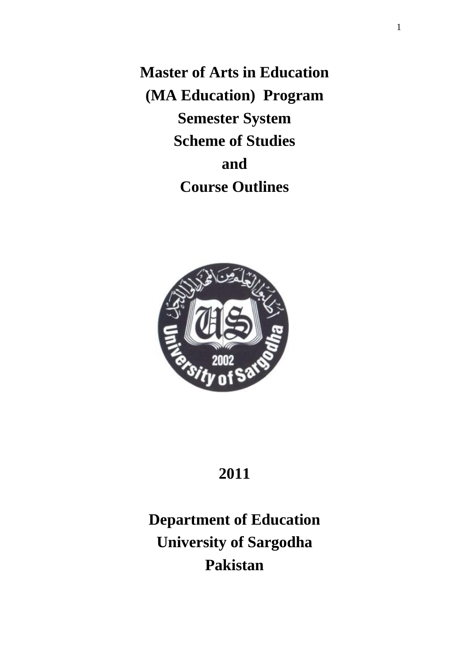**Master of Arts in Education (MA Education) Program Semester System Scheme of Studies and Course Outlines** 



# **2011**

**Department of Education University of Sargodha Pakistan**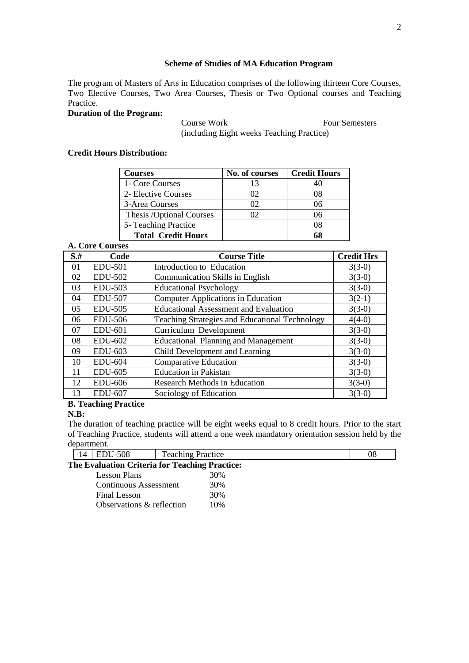# **Scheme of Studies of MA Education Program**

The program of Masters of Arts in Education comprises of the following thirteen Core Courses, Two Elective Courses, Two Area Courses, Thesis or Two Optional courses and Teaching Practice.

# **Duration of the Program:**

**Course Work Four Semesters** (including Eight weeks Teaching Practice)

# **Credit Hours Distribution:**

| <b>Courses</b>            | No. of courses | <b>Credit Hours</b> |
|---------------------------|----------------|---------------------|
| 1- Core Courses           | 13             |                     |
| 2- Elective Courses       | 02             |                     |
| 3-Area Courses            | 02             | 06                  |
| Thesis /Optional Courses  | 02             | 06                  |
| 5- Teaching Practice      |                | 08                  |
| <b>Total Credit Hours</b> |                |                     |

# **A. Core Courses**

| $S+$ | Code           | <b>Course Title</b>                            | <b>Credit Hrs</b> |
|------|----------------|------------------------------------------------|-------------------|
| 01   | <b>EDU-501</b> | Introduction to Education                      | $3(3-0)$          |
| 02   | <b>EDU-502</b> | <b>Communication Skills in English</b>         | $3(3-0)$          |
| 03   | EDU-503        | <b>Educational Psychology</b>                  | $3(3-0)$          |
| 04   | <b>EDU-507</b> | <b>Computer Applications in Education</b>      | $3(2-1)$          |
| 05   | <b>EDU-505</b> | <b>Educational Assessment and Evaluation</b>   | $3(3-0)$          |
| 06   | <b>EDU-506</b> | Teaching Strategies and Educational Technology | $4(4-0)$          |
| 07   | <b>EDU-601</b> | Curriculum Development                         | $3(3-0)$          |
| 08   | <b>EDU-602</b> | <b>Educational Planning and Management</b>     | $3(3-0)$          |
| 09   | EDU-603        | Child Development and Learning                 | $3(3-0)$          |
| 10   | <b>EDU-604</b> | <b>Comparative Education</b>                   | $3(3-0)$          |
| 11   | <b>EDU-605</b> | <b>Education</b> in Pakistan                   | $3(3-0)$          |
| 12   | <b>EDU-606</b> | Research Methods in Education                  | $3(3-0)$          |
| 13   | <b>EDU-607</b> | Sociology of Education                         | $3(3-0)$          |

# **B. Teaching Practice**

#### **N.B:**

The duration of teaching practice will be eight weeks equal to 8 credit hours. Prior to the start of Teaching Practice, students will attend a one week mandatory orientation session held by the department.

|              | 14 | $\overline{EDU}$ -508                          | <b>Teaching Practice</b> |     | 08 |
|--------------|----|------------------------------------------------|--------------------------|-----|----|
|              |    | The Evaluation Criteria for Teaching Practice: |                          |     |    |
|              |    | <b>Lesson Plans</b>                            |                          | 30% |    |
|              |    | Continuous Assessment                          |                          | 30% |    |
| Final Lesson |    | 30%                                            |                          |     |    |
|              |    | Observations & reflection                      |                          | 10% |    |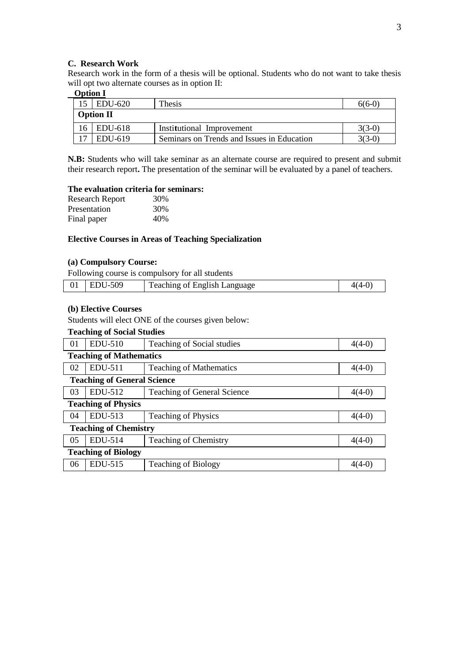#### **C. Research Work**

Research work in the form of a thesis will be optional. Students who do not want to take thesis will opt two alternate courses as in option II:

# **Option I**

|    | $ $ EDU-620      | Thesis                                     | $6(6-0)$ |
|----|------------------|--------------------------------------------|----------|
|    | <b>Option II</b> |                                            |          |
| 16 | $ $ EDU-618      | Institutional Improvement                  | 3(3-0)   |
|    | EDU-619          | Seminars on Trends and Issues in Education | $3(3-0)$ |

**N.B:** Students who will take seminar as an alternate course are required to present and submit their research report**.** The presentation of the seminar will be evaluated by a panel of teachers.

#### **The evaluation criteria for seminars:**

| <b>Research Report</b> | 30% |
|------------------------|-----|
| Presentation           | 30% |
| Final paper            | 40% |

# **Elective Courses in Areas of Teaching Specialization**

# **(a) Compulsory Course:**

Following course is compulsory for all students

|  |  | $01$   EDU-509 | <b>Teaching of English Language</b> |  |
|--|--|----------------|-------------------------------------|--|
|--|--|----------------|-------------------------------------|--|

# **(b) Elective Courses**

Students will elect ONE of the courses given below:

# **Teaching of Social Studies**

| 01                           | <b>EDU-510</b>                     | Teaching of Social studies     | $4(4-0)$ |  |  |  |
|------------------------------|------------------------------------|--------------------------------|----------|--|--|--|
|                              | <b>Teaching of Mathematics</b>     |                                |          |  |  |  |
| 02                           | EDU-511                            | <b>Teaching of Mathematics</b> | $4(4-0)$ |  |  |  |
|                              | <b>Teaching of General Science</b> |                                |          |  |  |  |
| 03                           | EDU-512                            | Teaching of General Science    | $4(4-0)$ |  |  |  |
|                              | <b>Teaching of Physics</b>         |                                |          |  |  |  |
| 04                           | EDU-513                            | <b>Teaching of Physics</b>     | $4(4-0)$ |  |  |  |
| <b>Teaching of Chemistry</b> |                                    |                                |          |  |  |  |
| 05                           | EDU-514                            | <b>Teaching of Chemistry</b>   | $4(4-0)$ |  |  |  |
|                              | <b>Teaching of Biology</b>         |                                |          |  |  |  |
| 06                           | EDU-515                            | <b>Teaching of Biology</b>     | $4(4-0)$ |  |  |  |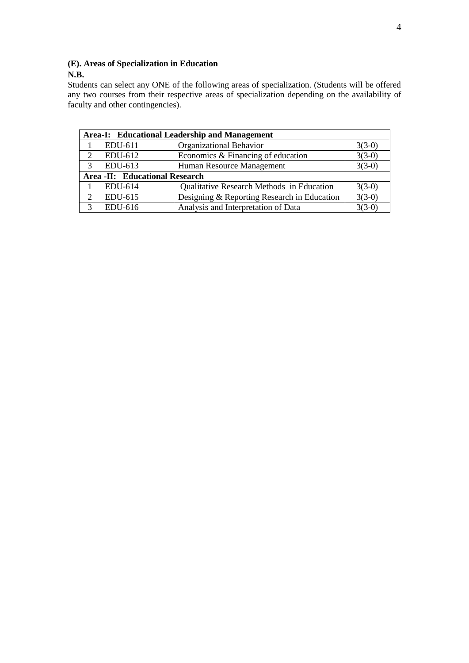# **(E). Areas of Specialization in Education**

# **N.B.**

Students can select any ONE of the following areas of specialization. (Students will be offered any two courses from their respective areas of specialization depending on the availability of faculty and other contingencies).

|   |                                | Area-I: Educational Leadership and Management |          |
|---|--------------------------------|-----------------------------------------------|----------|
|   | EDU-611                        | Organizational Behavior                       | $3(3-0)$ |
| 2 | EDU-612                        | Economics & Financing of education            | $3(3-0)$ |
| 3 | EDU-613                        | Human Resource Management                     | $3(3-0)$ |
|   | Area -II: Educational Research |                                               |          |
|   | EDU-614                        | Qualitative Research Methods in Education     | $3(3-0)$ |
| 2 | EDU-615                        | Designing & Reporting Research in Education   | $3(3-0)$ |
| 3 | EDU-616                        | Analysis and Interpretation of Data           | $3(3-0)$ |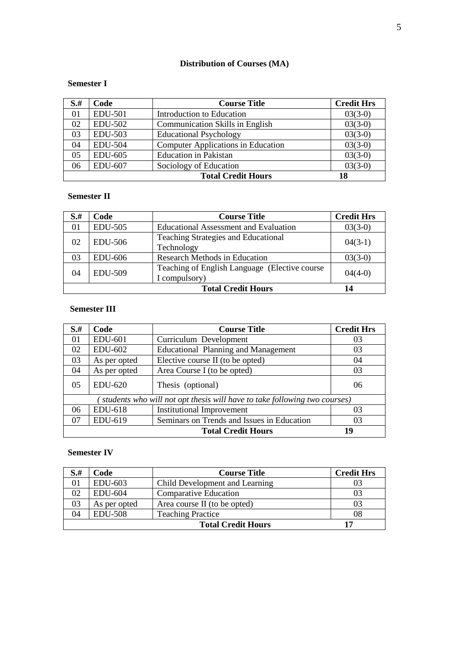# **Distribution of Courses (MA)**

# **Semester I**

| $S+$ | Code           | <b>Course Title</b>                       | <b>Credit Hrs</b> |
|------|----------------|-------------------------------------------|-------------------|
| 01   | <b>EDU-501</b> | Introduction to Education                 | $03(3-0)$         |
| 02   | <b>EDU-502</b> | <b>Communication Skills in English</b>    | $03(3-0)$         |
| 03   | <b>EDU-503</b> | <b>Educational Psychology</b>             | $03(3-0)$         |
| 04   | <b>EDU-504</b> | <b>Computer Applications in Education</b> | $03(3-0)$         |
| 05   | <b>EDU-605</b> | <b>Education</b> in Pakistan              | $03(3-0)$         |
| 06   | <b>EDU-607</b> | Sociology of Education                    | $03(3-0)$         |
|      |                | <b>Total Credit Hours</b>                 | 18                |

# **Semester II**

| $S+$ | Code           | <b>Course Title</b>                                             | <b>Credit Hrs</b> |
|------|----------------|-----------------------------------------------------------------|-------------------|
| 01   | <b>EDU-505</b> | <b>Educational Assessment and Evaluation</b>                    | $03(3-0)$         |
| 02   | <b>EDU-506</b> | <b>Teaching Strategies and Educational</b><br>Technology        | $04(3-1)$         |
| 03   | <b>EDU-606</b> | <b>Research Methods in Education</b>                            | $03(3-0)$         |
| 04   | <b>EDU-509</b> | Teaching of English Language (Elective course)<br>I compulsory) | $04(4-0)$         |
|      |                | <b>Total Credit Hours</b>                                       | 14                |

# **Semester III**

| $S+$                                                                      | Code           | <b>Course Title</b>                        | <b>Credit Hrs</b> |  |
|---------------------------------------------------------------------------|----------------|--------------------------------------------|-------------------|--|
| 01                                                                        | <b>EDU-601</b> | Curriculum Development                     | 03                |  |
| 02                                                                        | <b>EDU-602</b> | <b>Educational Planning and Management</b> | 03                |  |
| 03                                                                        | As per opted   | Elective course II (to be opted)           | 04                |  |
| 04                                                                        | As per opted   | Area Course I (to be opted)                | 03                |  |
| 05                                                                        | <b>EDU-620</b> | Thesis (optional)                          | 06                |  |
| students who will not opt thesis will have to take following two courses) |                |                                            |                   |  |
| 06                                                                        | EDU-618        | <b>Institutional Improvement</b>           | 03                |  |
| 07                                                                        | EDU-619        | Seminars on Trends and Issues in Education | 03                |  |
|                                                                           |                | <b>Total Credit Hours</b>                  | 19                |  |

# **Semester IV**

| $S+$ | Code           | <b>Course Title</b>            | <b>Credit Hrs</b> |
|------|----------------|--------------------------------|-------------------|
| 01   | EDU-603        | Child Development and Learning | 03                |
| 02   | <b>EDU-604</b> | Comparative Education          | 03                |
| 03   | As per opted   | Area course II (to be opted)   | 03                |
| 04   | <b>EDU-508</b> | <b>Teaching Practice</b>       | 08                |
|      |                | <b>Total Credit Hours</b>      | 17                |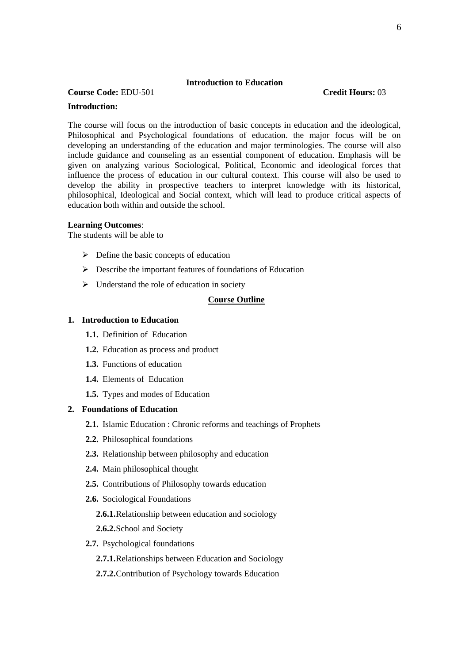#### **Introduction to Education**

# **Course Code:** EDU-501 **Credit Hours:** 03

#### **Introduction:**

The course will focus on the introduction of basic concepts in education and the ideological, Philosophical and Psychological foundations of education. the major focus will be on developing an understanding of the education and major terminologies. The course will also include guidance and counseling as an essential component of education. Emphasis will be given on analyzing various Sociological, Political, Economic and ideological forces that influence the process of education in our cultural context. This course will also be used to develop the ability in prospective teachers to interpret knowledge with its historical, philosophical, Ideological and Social context, which will lead to produce critical aspects of education both within and outside the school.

#### **Learning Outcomes**:

The students will be able to

- $\triangleright$  Define the basic concepts of education
- $\triangleright$  Describe the important features of foundations of Education
- $\triangleright$  Understand the role of education in society

#### **Course Outline**

#### **1. Introduction to Education**

- **1.1.** Definition of Education
- **1.2.** Education as process and product
- **1.3.** Functions of education
- **1.4.** Elements of Education
- **1.5.** Types and modes of Education

# **2. Foundations of Education**

- **2.1.** Islamic Education : Chronic reforms and teachings of Prophets
- **2.2.** Philosophical foundations
- **2.3.** Relationship between philosophy and education
- **2.4.** Main philosophical thought
- **2.5.** Contributions of Philosophy towards education
- **2.6.** Sociological Foundations

#### **2.6.1.**Relationship between education and sociology

**2.6.2.**School and Society

#### **2.7.** Psychological foundations

- **2.7.1.**Relationships between Education and Sociology
- **2.7.2.**Contribution of Psychology towards Education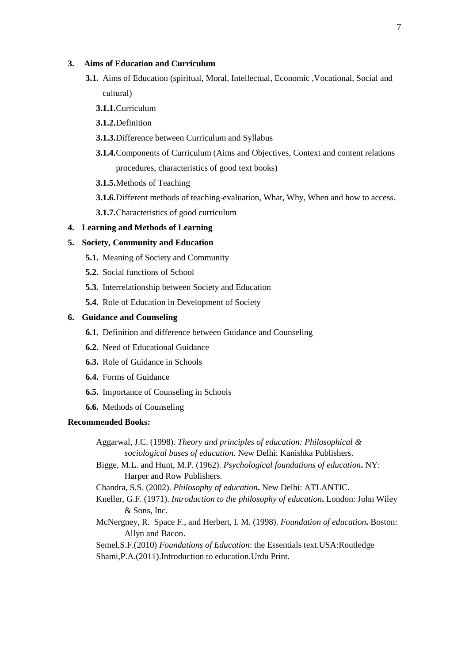# **3. Aims of Education and Curriculum**

- **3.1.** Aims of Education (spiritual, Moral, Intellectual, Economic ,Vocational, Social and cultural)
	- **3.1.1.**Curriculum
	- **3.1.2.**Definition
	- **3.1.3.**Difference between Curriculum and Syllabus
	- **3.1.4.**Components of Curriculum (Aims and Objectives, Context and content relations procedures, characteristics of good text books)
	- **3.1.5.**Methods of Teaching
	- **3.1.6.**Different methods of teaching-evaluation, What, Why, When and how to access.
	- **3.1.7.**Characteristics of good curriculum

#### **4. Learning and Methods of Learning**

#### **5. Society, Community and Education**

- **5.1.** Meaning of Society and Community
- **5.2.** Social functions of School
- **5.3.** Interrelationship between Society and Education
- **5.4.** Role of Education in Development of Society

#### **6. Guidance and Counseling**

- **6.1.** Definition and difference between Guidance and Counseling
- **6.2.** Need of Educational Guidance
- **6.3.** Role of Guidance in Schools
- **6.4.** Forms of Guidance
- **6.5.** Importance of Counseling in Schools
- **6.6.** Methods of Counseling

#### **Recommended Books:**

Aggarwal, J.C. (1998). *Theory and principles of education: Philosophical & sociological bases of education.* New Delhi: Kanishka Publishers.

Bigge, M.L. and Hunt, M.P. (1962). *Psychological foundations of education***.** NY: Harper and Row Publishers.

Chandra, S.S. (2002). *Philosophy of education***.** New Delhi: ATLANTIC.

- Kneller, G.F. (1971). *Introduction to the philosophy of education***.** London: John Wiley & Sons, Inc.
- McNergney, R. Space F., and Herbert, I. M. (1998). *Foundation of education***.** Boston: Allyn and Bacon.

Semel,S.F.(2010) *Foundations of Education*: the Essentials text.USA:Routledge Shami,P.A.(2011).Introduction to education.Urdu Print.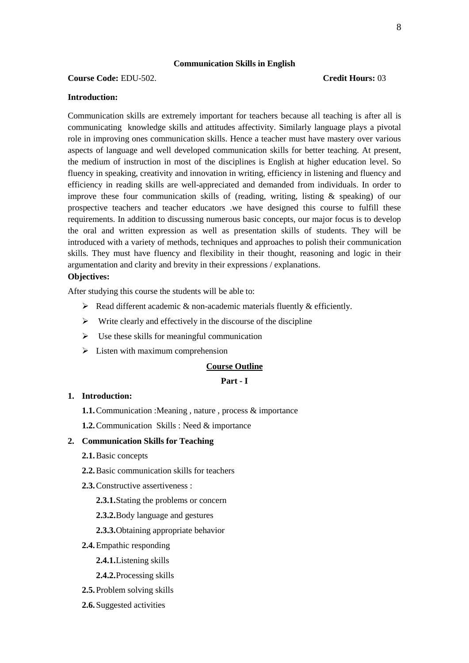#### **Communication Skills in English**

# **Course Code:** EDU-502. **Credit Hours:** 03

#### **Introduction:**

Communication skills are extremely important for teachers because all teaching is after all is communicating knowledge skills and attitudes affectivity. Similarly language plays a pivotal role in improving ones communication skills. Hence a teacher must have mastery over various aspects of language and well developed communication skills for better teaching. At present, the medium of instruction in most of the disciplines is English at higher education level. So fluency in speaking, creativity and innovation in writing, efficiency in listening and fluency and efficiency in reading skills are well-appreciated and demanded from individuals. In order to improve these four communication skills of (reading, writing, listing & speaking) of our prospective teachers and teacher educators .we have designed this course to fulfill these requirements. In addition to discussing numerous basic concepts, our major focus is to develop the oral and written expression as well as presentation skills of students. They will be introduced with a variety of methods, techniques and approaches to polish their communication skills. They must have fluency and flexibility in their thought, reasoning and logic in their argumentation and clarity and brevity in their expressions / explanations.

# **Objectives:**

After studying this course the students will be able to:

- $\triangleright$  Read different academic & non-academic materials fluently & efficiently.
- $\triangleright$  Write clearly and effectively in the discourse of the discipline
- $\triangleright$  Use these skills for meaningful communication
- $\triangleright$  Listen with maximum comprehension

#### **Course Outline**

#### **Part - I**

# **1. Introduction:**

- **1.1.**Communication :Meaning , nature , process & importance
- **1.2.**Communication Skills : Need & importance

#### **2. Communication Skills for Teaching**

- **2.1.**Basic concepts
- **2.2.**Basic communication skills for teachers
- **2.3.**Constructive assertiveness :
	- **2.3.1.**Stating the problems or concern
	- **2.3.2.**Body language and gestures
	- **2.3.3.**Obtaining appropriate behavior
- **2.4.**Empathic responding
	- **2.4.1.**Listening skills
	- **2.4.2.**Processing skills
- **2.5.**Problem solving skills
- **2.6.**Suggested activities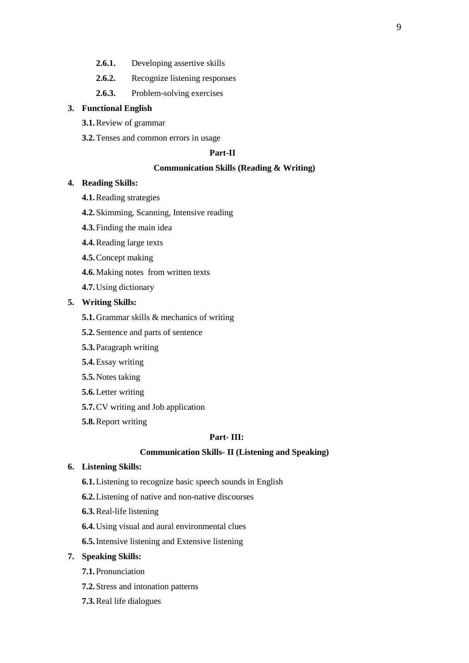- **2.6.1.** Developing assertive skills
- **2.6.2.** Recognize listening responses
- **2.6.3.** Problem-solving exercises

# **3. Functional English**

- **3.1.**Review of grammar
- **3.2.**Tenses and common errors in usage

# **Part-II**

# **Communication Skills (Reading & Writing)**

# **4. Reading Skills:**

- **4.1.**Reading strategies
- **4.2.**Skimming, Scanning, Intensive reading
- **4.3.**Finding the main idea
- **4.4.**Reading large texts
- **4.5.**Concept making
- **4.6.**Making notes from written texts
- **4.7.**Using dictionary

# **5. Writing Skills:**

- **5.1.**Grammar skills & mechanics of writing
- **5.2.**Sentence and parts of sentence
- **5.3.**Paragraph writing
- **5.4.**Essay writing
- **5.5.**Notes taking
- **5.6.**Letter writing
- **5.7.**CV writing and Job application
- **5.8.**Report writing

#### **Part- III:**

### **Communication Skills- II (Listening and Speaking)**

# **6. Listening Skills:**

- **6.1.**Listening to recognize basic speech sounds in English
- **6.2.**Listening of native and non-native discourses
- **6.3.**Real-life listening
- **6.4.**Using visual and aural environmental clues
- **6.5.**Intensive listening and Extensive listening

# **7. Speaking Skills:**

- **7.1.**Pronunciation
- **7.2.**Stress and intonation patterns
- **7.3.**Real life dialogues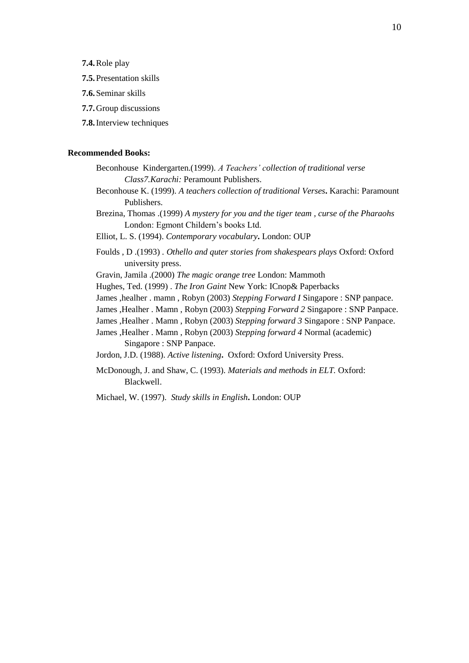**7.4.**Role play

- **7.5.**Presentation skills
- **7.6.**Seminar skills
- **7.7.**Group discussions
- **7.8.**Interview techniques

# **Recommended Books:**

- Beconhouse Kindergarten.(1999). *A Teachers' collection of traditional verse Class7.Karachi:* Peramount Publishers.
- Beconhouse K. (1999). *A teachers collection of traditional Verses***.** Karachi: Paramount Publishers.
- Brezina, Thomas .(1999) *A mystery for you and the tiger team , curse of the Pharaohs*  London: Egmont Childern's books Ltd.
- Elliot, L. S. (1994). *Contemporary vocabulary***.** London: OUP
- Foulds , D .(1993) *. Othello and quter stories from shakespears plays* Oxford: Oxford university press.
- Gravin, Jamila .(2000) *The magic orange tree* London: Mammoth
- Hughes, Ted. (1999) . *The Iron Gaint* New York: ICnop& Paperbacks
- James ,healher . mamn , Robyn (2003) *Stepping Forward I* Singapore : SNP panpace.
- James ,Healher . Mamn , Robyn (2003) *Stepping Forward 2* Singapore : SNP Panpace.
- James ,Healher . Mamn , Robyn (2003) *Stepping forward 3* Singapore : SNP Panpace.
- James ,Healher . Mamn , Robyn (2003) *Stepping forward 4* Normal (academic) Singapore : SNP Panpace.
- Jordon, J.D. (1988). *Active listening***.** Oxford: Oxford University Press.
- McDonough, J. and Shaw, C. (1993). *Materials and methods in ELT.* Oxford: Blackwell.
- Michael, W. (1997). *Study skills in English***.** London: OUP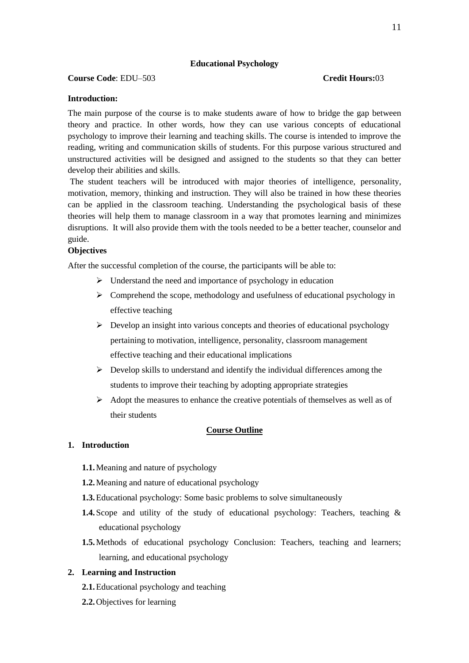# **Educational Psychology**

# **Course Code**: EDU–503 **Credit Hours:**03

# **Introduction:**

The main purpose of the course is to make students aware of how to bridge the gap between theory and practice. In other words, how they can use various concepts of educational psychology to improve their learning and teaching skills. The course is intended to improve the reading, writing and communication skills of students. For this purpose various structured and unstructured activities will be designed and assigned to the students so that they can better develop their abilities and skills.

The student teachers will be introduced with major theories of intelligence, personality, motivation, memory, thinking and instruction. They will also be trained in how these theories can be applied in the classroom teaching. Understanding the psychological basis of these theories will help them to manage classroom in a way that promotes learning and minimizes disruptions. It will also provide them with the tools needed to be a better teacher, counselor and guide.

#### **Objectives**

After the successful completion of the course, the participants will be able to:

- $\triangleright$  Understand the need and importance of psychology in education
- $\triangleright$  Comprehend the scope, methodology and usefulness of educational psychology in effective teaching
- $\triangleright$  Develop an insight into various concepts and theories of educational psychology pertaining to motivation, intelligence, personality, classroom management effective teaching and their educational implications
- $\triangleright$  Develop skills to understand and identify the individual differences among the students to improve their teaching by adopting appropriate strategies
- $\triangleright$  Adopt the measures to enhance the creative potentials of themselves as well as of their students

#### **Course Outline**

# **1. Introduction**

- **1.1.**Meaning and nature of psychology
- **1.2.**Meaning and nature of educational psychology
- **1.3.**Educational psychology: Some basic problems to solve simultaneously
- **1.4.**Scope and utility of the study of educational psychology: Teachers, teaching & educational psychology
- **1.5.**Methods of educational psychology Conclusion: Teachers, teaching and learners; learning, and educational psychology

#### **2. Learning and Instruction**

- **2.1.**Educational psychology and teaching
- **2.2.**Objectives for learning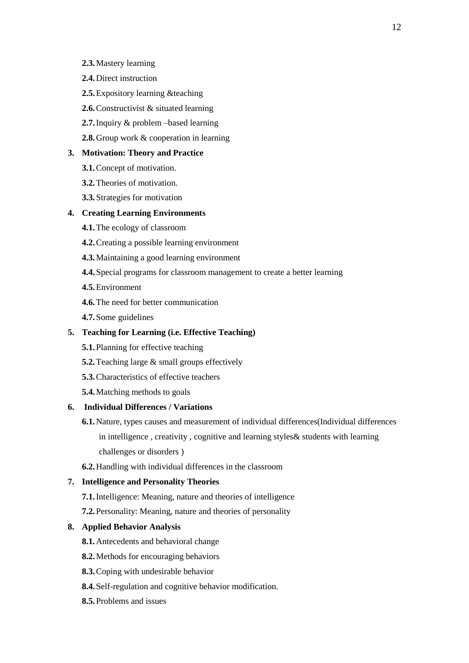- **2.3.**Mastery learning
- **2.4.**Direct instruction
- **2.5.**Expository learning &teaching
- **2.6.**Constructivist & situated learning
- **2.7.**Inquiry & problem –based learning
- **2.8.**Group work & cooperation in learning

# **3. Motivation: Theory and Practice**

- **3.1.**Concept of motivation.
- **3.2.**Theories of motivation.
- **3.3.**Strategies for motivation

# **4. Creating Learning Environments**

- **4.1.**The ecology of classroom
- **4.2.**Creating a possible learning environment
- **4.3.**Maintaining a good learning environment
- **4.4.**Special programs for classroom management to create a better learning
- **4.5.**Environment
- **4.6.**The need for better communication
- **4.7.**Some guidelines

# **5. Teaching for Learning (i.e. Effective Teaching)**

- **5.1.**Planning for effective teaching
- **5.2.**Teaching large & small groups effectively
- **5.3.**Characteristics of effective teachers
- **5.4.**Matching methods to goals

#### **6. Individual Differences / Variations**

- **6.1.**Nature, types causes and measurement of individual differences(Individual differences in intelligence , creativity , cognitive and learning styles& students with learning challenges or disorders )
- **6.2.**Handling with individual differences in the classroom

# **7. Intelligence and Personality Theories**

- **7.1.**Intelligence: Meaning, nature and theories of intelligence
- **7.2.**Personality: Meaning, nature and theories of personality

# **8. Applied Behavior Analysis**

- **8.1.**Antecedents and behavioral change
- **8.2.**Methods for encouraging behaviors
- **8.3.**Coping with undesirable behavior
- **8.4.**Self-regulation and cognitive behavior modification.
- **8.5.**Problems and issues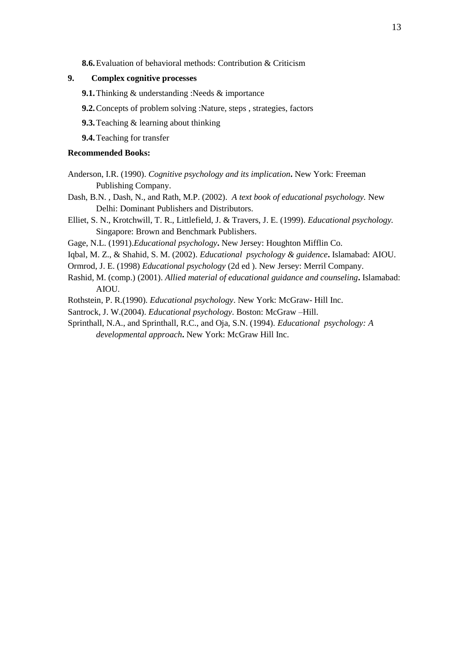**8.6.**Evaluation of behavioral methods: Contribution & Criticism

### **9. Complex cognitive processes**

- **9.1.** Thinking & understanding :Needs & importance
- **9.2.**Concepts of problem solving :Nature, steps , strategies, factors
- **9.3.**Teaching & learning about thinking

**9.4.**Teaching for transfer

# **Recommended Books:**

Anderson, I.R. (1990). *Cognitive psychology and its implication***.** New York: Freeman Publishing Company.

Dash, B.N. , Dash, N., and Rath, M.P. (2002). *A text book of educational psychology.* New Delhi: Dominant Publishers and Distributors.

Elliet, S. N., Krotchwill, T. R., Littlefield, J. & Travers, J. E. (1999). *Educational psychology.* Singapore: Brown and Benchmark Publishers.

Gage, N.L. (1991).*Educational psychology***.** New Jersey: Houghton Mifflin Co.

Iqbal, M. Z., & Shahid, S. M. (2002). *Educational psychology & guidence***.** Islamabad: AIOU.

- Ormrod, J. E. (1998) *Educational psychology* (2d ed ). New Jersey: Merril Company.
- Rashid, M. (comp.) (2001). *Allied material of educational guidance and counseling***.** Islamabad: AIOU.

Rothstein, P. R.(1990). *Educational psychology*. New York: McGraw- Hill Inc.

Santrock, J. W.(2004). *Educational psychology*. Boston: McGraw –Hill.

Sprinthall, N.A., and Sprinthall, R.C., and Oja, S.N. (1994). *Educational psychology: A developmental approach***.** New York: McGraw Hill Inc.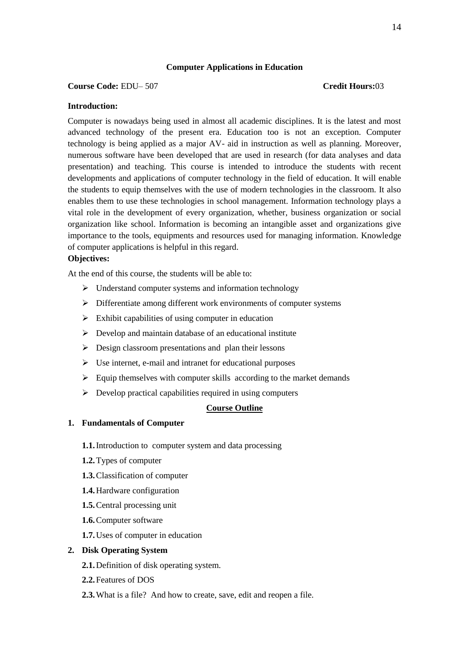# **Computer Applications in Education**

#### **Course Code:** EDU– 507 **Credit Hours:**03

# **Introduction:**

Computer is nowadays being used in almost all academic disciplines. It is the latest and most advanced technology of the present era. Education too is not an exception. Computer technology is being applied as a major AV- aid in instruction as well as planning. Moreover, numerous software have been developed that are used in research (for data analyses and data presentation) and teaching. This course is intended to introduce the students with recent developments and applications of computer technology in the field of education. It will enable the students to equip themselves with the use of modern technologies in the classroom. It also enables them to use these technologies in school management. Information technology plays a vital role in the development of every organization, whether, business organization or social organization like school. Information is becoming an intangible asset and organizations give importance to the tools, equipments and resources used for managing information. Knowledge of computer applications is helpful in this regard.

# **Objectives:**

At the end of this course, the students will be able to:

- $\triangleright$  Understand computer systems and information technology
- $\triangleright$  Differentiate among different work environments of computer systems
- $\triangleright$  Exhibit capabilities of using computer in education
- $\triangleright$  Develop and maintain database of an educational institute
- $\triangleright$  Design classroom presentations and plan their lessons
- $\triangleright$  Use internet, e-mail and intranet for educational purposes
- $\triangleright$  Equip themselves with computer skills according to the market demands
- $\triangleright$  Develop practical capabilities required in using computers

#### **Course Outline**

#### **1. Fundamentals of Computer**

- **1.1.**Introduction to computer system and data processing
- **1.2.**Types of computer
- **1.3.**Classification of computer
- **1.4.**Hardware configuration
- **1.5.**Central processing unit
- **1.6.**Computer software
- **1.7.**Uses of computer in education

# **2. Disk Operating System**

- **2.1.**Definition of disk operating system.
- **2.2.**Features of DOS
- **2.3.**What is a file? And how to create, save, edit and reopen a file.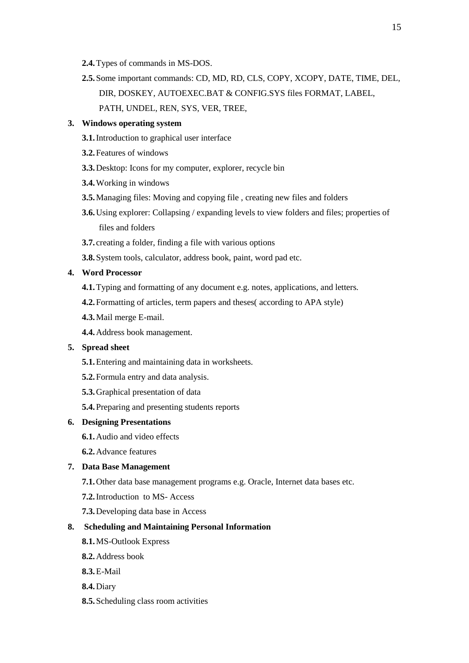- **2.4.**Types of commands in MS-DOS.
- **2.5.**Some important commands: CD, MD, RD, CLS, COPY, XCOPY, DATE, TIME, DEL, DIR, DOSKEY, AUTOEXEC.BAT & CONFIG.SYS files FORMAT, LABEL, PATH, UNDEL, REN, SYS, VER, TREE,

# **3. Windows operating system**

- **3.1.**Introduction to graphical user interface
- **3.2.**Features of windows
- **3.3.**Desktop: Icons for my computer, explorer, recycle bin
- **3.4.**Working in windows
- **3.5.**Managing files: Moving and copying file , creating new files and folders
- **3.6.**Using explorer: Collapsing / expanding levels to view folders and files; properties of files and folders
- **3.7.** creating a folder, finding a file with various options
- **3.8.**System tools, calculator, address book, paint, word pad etc.

# **4. Word Processor**

- **4.1.**Typing and formatting of any document e.g. notes, applications, and letters.
- **4.2.**Formatting of articles, term papers and theses( according to APA style)
- **4.3.**Mail merge E-mail.
- **4.4.**Address book management.

#### **5. Spread sheet**

- **5.1.**Entering and maintaining data in worksheets.
- **5.2.**Formula entry and data analysis.
- **5.3.**Graphical presentation of data
- **5.4.**Preparing and presenting students reports

#### **6. Designing Presentations**

- **6.1.**Audio and video effects
- **6.2.**Advance features

#### **7. Data Base Management**

- **7.1.**Other data base management programs e.g. Oracle, Internet data bases etc.
- **7.2.**Introduction to MS- Access
- **7.3.**Developing data base in Access

# **8. Scheduling and Maintaining Personal Information**

- **8.1.**MS-Outlook Express
- **8.2.**Address book
- **8.3.**E-Mail
- **8.4.**Diary
- **8.5.**Scheduling class room activities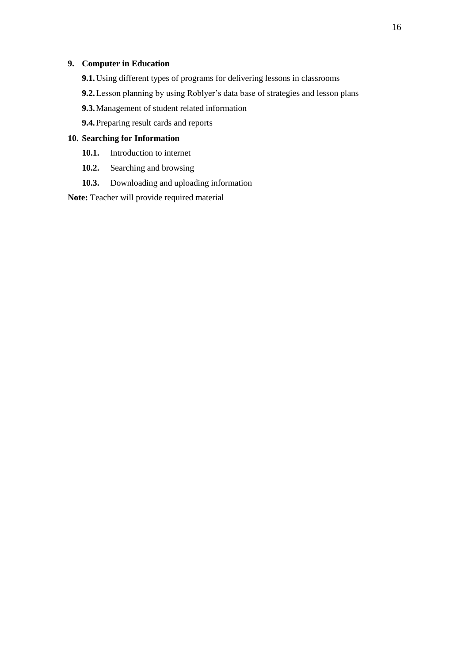# **9. Computer in Education**

- **9.1.**Using different types of programs for delivering lessons in classrooms
- **9.2.**Lesson planning by using Roblyer's data base of strategies and lesson plans
- **9.3.**Management of student related information
- **9.4.**Preparing result cards and reports

# **10. Searching for Information**

- **10.1.** Introduction to internet
- **10.2.** Searching and browsing
- **10.3.** Downloading and uploading information

**Note:** Teacher will provide required material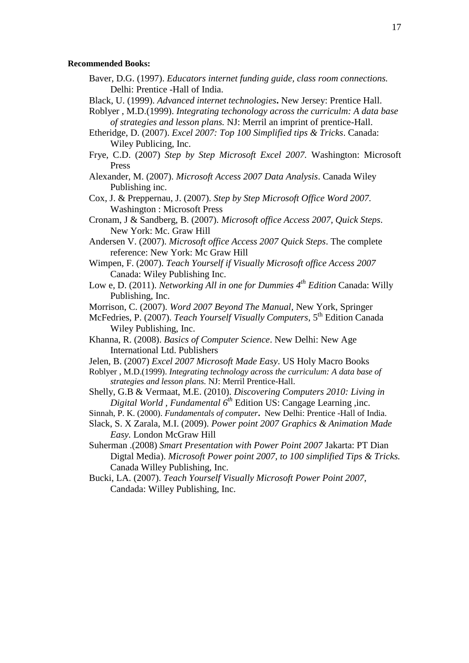#### **Recommended Books:**

- Baver, D.G. (1997). *Educators internet funding guide, class room connections.* Delhi: Prentice -Hall of India.
- Black, U. (1999). *Advanced internet technologies***.** New Jersey: Prentice Hall.
- Roblyer , M.D.(1999). *Integrating techonology across the curriculm: A data base of strategies and lesson plans.* NJ: Merril an imprint of prentice-Hall.
- Etheridge, D. (2007). *Excel 2007: Top 100 Simplified tips & Tricks*. Canada: Wiley Publicing, Inc.
- Frye, C.D. (2007) *Step by Step Microsoft Excel 2007.* Washington: Microsoft Press
- Alexander, M. (2007). *Microsoft Access 2007 Data Analysis*. Canada Wiley Publishing inc.
- Cox, J. & Preppernau, J. (2007). *Step by Step Microsoft Office Word 2007.* Washington : Microsoft Press
- Cronam, J & Sandberg, B. (2007). *Microsoft office Access 2007, Quick Steps*. New York: Mc. Graw Hill
- Andersen V. (2007). *Microsoft office Access 2007 Quick Steps*. The complete reference: New York: Mc Graw Hill
- Wimpen, F. (2007). *Teach Yourself if Visually Microsoft office Access 2007* Canada: Wiley Publishing Inc.
- Low e, D. (2011). *Networking All in one for Dummies 4th Edition* Canada: Willy Publishing, Inc.
- Morrison, C. (2007). *Word 2007 Beyond The Manual*, New York, Springer
- McFedries, P. (2007). *Teach Yourself Visually Computers*, 5th Edition Canada Wiley Publishing, Inc.
- Khanna, R. (2008). *Basics of Computer Science*. New Delhi: New Age International Ltd. Publishers
- Jelen, B. (2007) *Excel 2007 Microsoft Made Easy*. US Holy Macro Books
- Roblyer , M.D.(1999). *Integrating technology across the curriculum: A data base of strategies and lesson plans.* NJ: Merril Prentice-Hall.
- Shelly, G.B & Vermaat, M.E. (2010). *Discovering Computers 2010: Living in Digital World , Fundamental 6th* Edition US: Cangage Learning ,inc.
- Sinnah, P. K. (2000). *Fundamentals of computer***.** New Delhi: Prentice -Hall of India.
- Slack, S. X Zarala, M.I. (2009). *Power point 2007 Graphics & Animation Made Easy.* London McGraw Hill
- Suherman .(2008) *Smart Presentation with Power Point 2007* Jakarta: PT Dian Digtal Media). *Microsoft Power point 2007, to 100 simplified Tips & Tricks.* Canada Willey Publishing, Inc.
- Bucki, LA. (2007). *Teach Yourself Visually Microsoft Power Point 2007,* Candada: Willey Publishing, Inc.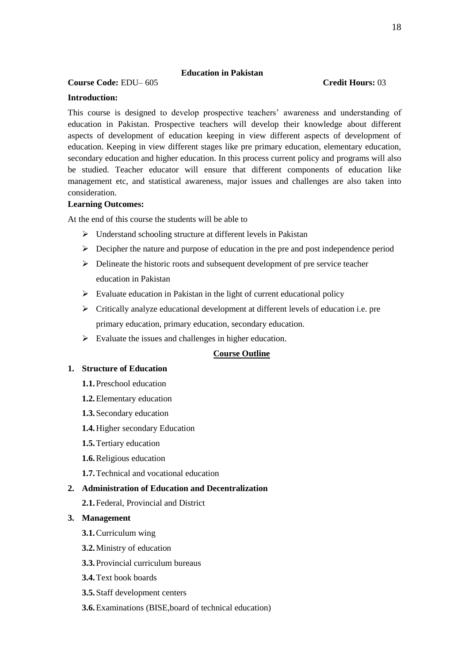# **Education in Pakistan**

# **Course Code:** EDU– 605 **Credit Hours:** 03

# **Introduction:**

This course is designed to develop prospective teachers' awareness and understanding of education in Pakistan. Prospective teachers will develop their knowledge about different aspects of development of education keeping in view different aspects of development of education. Keeping in view different stages like pre primary education, elementary education, secondary education and higher education. In this process current policy and programs will also be studied. Teacher educator will ensure that different components of education like management etc, and statistical awareness, major issues and challenges are also taken into consideration.

### **Learning Outcomes:**

At the end of this course the students will be able to

- $\triangleright$  Understand schooling structure at different levels in Pakistan
- $\triangleright$  Decipher the nature and purpose of education in the pre and post independence period
- $\triangleright$  Delineate the historic roots and subsequent development of pre service teacher education in Pakistan
- $\triangleright$  Evaluate education in Pakistan in the light of current educational policy
- Critically analyze educational development at different levels of education i.e. pre primary education, primary education, secondary education.
- $\triangleright$  Evaluate the issues and challenges in higher education.

# **Course Outline**

#### **1. Structure of Education**

- **1.1.**Preschool education
- **1.2.**Elementary education
- **1.3.**Secondary education
- **1.4.**Higher secondary Education
- **1.5.**Tertiary education
- **1.6.**Religious education
- **1.7.**Technical and vocational education

# **2. Administration of Education and Decentralization**

**2.1.**Federal, Provincial and District

#### **3. Management**

- **3.1.**Curriculum wing
- **3.2.**Ministry of education
- **3.3.**Provincial curriculum bureaus
- **3.4.**Text book boards
- **3.5.**Staff development centers
- **3.6.**Examinations (BISE,board of technical education)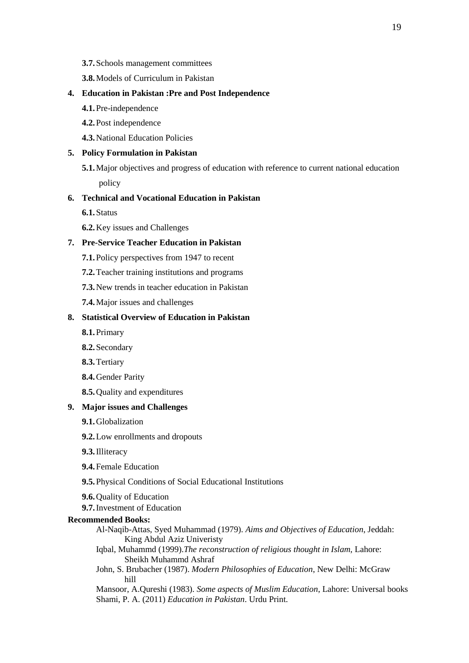- **3.7.**Schools management committees
- **3.8.**Models of Curriculum in Pakistan

# **4. Education in Pakistan :Pre and Post Independence**

- **4.1.**Pre-independence
- **4.2.**Post independence
- **4.3.**National Education Policies

#### **5. Policy Formulation in Pakistan**

**5.1.**Major objectives and progress of education with reference to current national education policy

# **6. Technical and Vocational Education in Pakistan**

- **6.1.**Status
- **6.2.**Key issues and Challenges

# **7. Pre-Service Teacher Education in Pakistan**

- **7.1.**Policy perspectives from 1947 to recent
- **7.2.**Teacher training institutions and programs
- **7.3.**New trends in teacher education in Pakistan
- **7.4.**Major issues and challenges

# **8. Statistical Overview of Education in Pakistan**

- **8.1.**Primary
- **8.2.**Secondary
- **8.3.**Tertiary
- **8.4.**Gender Parity
- **8.5.**Quality and expenditures

#### **9. Major issues and Challenges**

- **9.1.**Globalization
- **9.2.**Low enrollments and dropouts
- **9.3.**Illiteracy
- **9.4.**Female Education
- **9.5.**Physical Conditions of Social Educational Institutions
- **9.6.**Quality of Education
- **9.7.**Investment of Education

#### **Recommended Books:**

- Al-Naqib-Attas, Syed Muhammad (1979). *Aims and Objectives of Education*, Jeddah: King Abdul Aziz Univeristy
- Iqbal, Muhammd (1999).*The reconstruction of religious thought in Islam*, Lahore: Sheikh Muhammd Ashraf
- John, S. Brubacher (1987). *Modern Philosophies of Education*, New Delhi: McGraw hill

Mansoor, A.Qureshi (1983). *Some aspects of Muslim Education*, Lahore: Universal books Shami, P. A. (2011) *Education in Pakistan*. Urdu Print.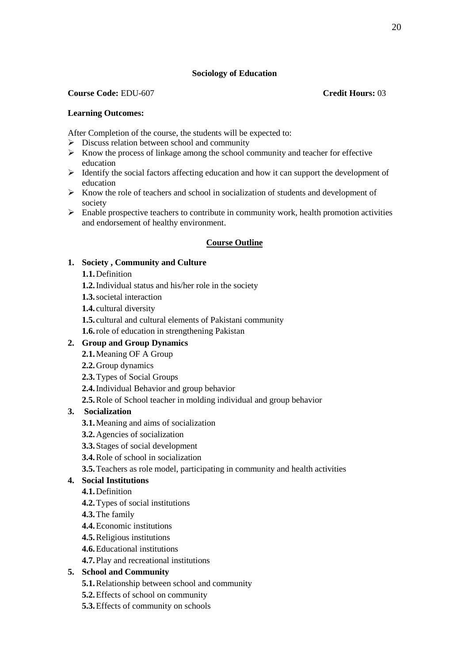# **Sociology of Education**

# **Course Code:** EDU-607 **Credit Hours:** 03

# **Learning Outcomes:**

After Completion of the course, the students will be expected to:

- $\triangleright$  Discuss relation between school and community
- $\triangleright$  Know the process of linkage among the school community and teacher for effective education
- $\triangleright$  Identify the social factors affecting education and how it can support the development of education
- $\triangleright$  Know the role of teachers and school in socialization of students and development of society
- $\triangleright$  Enable prospective teachers to contribute in community work, health promotion activities and endorsement of healthy environment.

# **Course Outline**

# **1. Society , Community and Culture**

- **1.1.**Definition
- **1.2.**Individual status and his/her role in the society
- **1.3.**societal interaction
- **1.4.** cultural diversity
- **1.5.** cultural and cultural elements of Pakistani community
- **1.6.**role of education in strengthening Pakistan

# **2. Group and Group Dynamics**

- **2.1.**Meaning OF A Group
- **2.2.**Group dynamics
- **2.3.**Types of Social Groups
- **2.4.**Individual Behavior and group behavior
- **2.5.**Role of School teacher in molding individual and group behavior

# **3. Socialization**

- **3.1.**Meaning and aims of socialization
- **3.2.**Agencies of socialization
- **3.3.**Stages of social development
- **3.4.**Role of school in socialization
- **3.5.**Teachers as role model, participating in community and health activities
- **4. Social Institutions** 
	- **4.1.**Definition
	- **4.2.**Types of social institutions
	- **4.3.**The family
	- **4.4.**Economic institutions
	- **4.5.**Religious institutions
	- **4.6.**Educational institutions
	- **4.7.**Play and recreational institutions

# **5. School and Community**

- **5.1.**Relationship between school and community
- **5.2.**Effects of school on community
- **5.3.**Effects of community on schools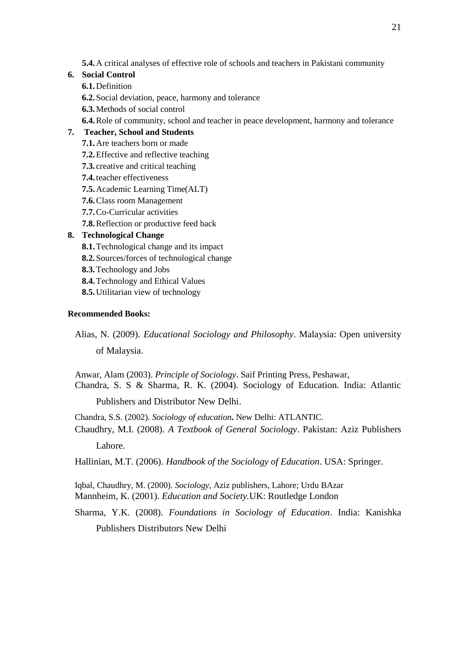**5.4.**A critical analyses of effective role of schools and teachers in Pakistani community

# **6. Social Control**

- **6.1.**Definition
- **6.2.**Social deviation, peace, harmony and tolerance
- **6.3.**Methods of social control
- **6.4.**Role of community, school and teacher in peace development, harmony and tolerance

# **7. Teacher, School and Students**

- **7.1.**Are teachers born or made
- **7.2.**Effective and reflective teaching
- **7.3.** creative and critical teaching
- **7.4.**teacher effectiveness
- **7.5.**Academic Learning Time(ALT)
- **7.6.**Class room Management
- **7.7.**Co-Curricular activities
- **7.8.**Reflection or productive feed back

# **8. Technological Change**

- **8.1.**Technological change and its impact
- **8.2.**Sources/forces of technological change
- **8.3.**Technology and Jobs
- **8.4.**Technology and Ethical Values
- **8.5.**Utilitarian view of technology

# **Recommended Books:**

Alias, N. (2009). *Educational Sociology and Philosophy*. Malaysia: Open university of Malaysia.

Anwar, Alam (2003). *Principle of Sociology*. Saif Printing Press, Peshawar, Chandra, S. S & Sharma, R. K. (2004). Sociology of Education. India: Atlantic

Publishers and Distributor New Delhi.

Chandra, S.S. (2002). *Sociology of education***.** New Delhi: ATLANTIC.

Chaudhry, M.I. (2008). *A Textbook of General Sociology*. Pakistan: Aziz Publishers Lahore.

Hallinian, M.T. (2006). *Handbook of the Sociology of Education*. USA: Springer.

Iqbal, Chaudhry, M. (2000). *Sociology*, Aziz publishers, Lahore; Urdu BAzar Mannheim, K. (2001). *Education and Society.*UK: Routledge London

Sharma, Y.K. (2008). *Foundations in Sociology of Education*. India: Kanishka Publishers Distributors New Delhi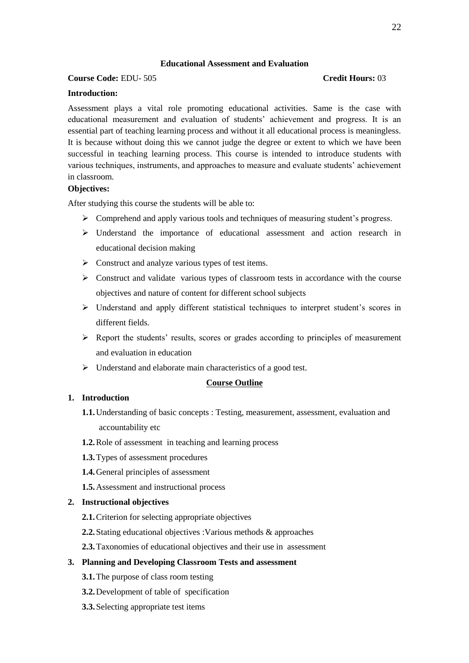### **Educational Assessment and Evaluation**

# **Course Code:** EDU- 505 **Credit Hours:** 03

#### **Introduction:**

Assessment plays a vital role promoting educational activities. Same is the case with educational measurement and evaluation of students' achievement and progress. It is an essential part of teaching learning process and without it all educational process is meaningless. It is because without doing this we cannot judge the degree or extent to which we have been successful in teaching learning process. This course is intended to introduce students with various techniques, instruments, and approaches to measure and evaluate students' achievement in classroom.

#### **Objectives:**

After studying this course the students will be able to:

- $\triangleright$  Comprehend and apply various tools and techniques of measuring student's progress.
- Understand the importance of educational assessment and action research in educational decision making
- $\triangleright$  Construct and analyze various types of test items.
- $\triangleright$  Construct and validate various types of classroom tests in accordance with the course objectives and nature of content for different school subjects
- Understand and apply different statistical techniques to interpret student's scores in different fields.
- $\triangleright$  Report the students' results, scores or grades according to principles of measurement and evaluation in education
- $\triangleright$  Understand and elaborate main characteristics of a good test.

# **Course Outline**

# **1. Introduction**

- **1.1.**Understanding of basic concepts : Testing, measurement, assessment, evaluation and accountability etc
- **1.2.**Role of assessment in teaching and learning process
- **1.3.**Types of assessment procedures
- **1.4.**General principles of assessment
- **1.5.**Assessment and instructional process

#### **2. Instructional objectives**

- **2.1.**Criterion for selecting appropriate objectives
- **2.2.**Stating educational objectives :Various methods & approaches
- **2.3.**Taxonomies of educational objectives and their use in assessment

#### **3. Planning and Developing Classroom Tests and assessment**

- **3.1.**The purpose of class room testing
- **3.2.**Development of table of specification
- **3.3.**Selecting appropriate test items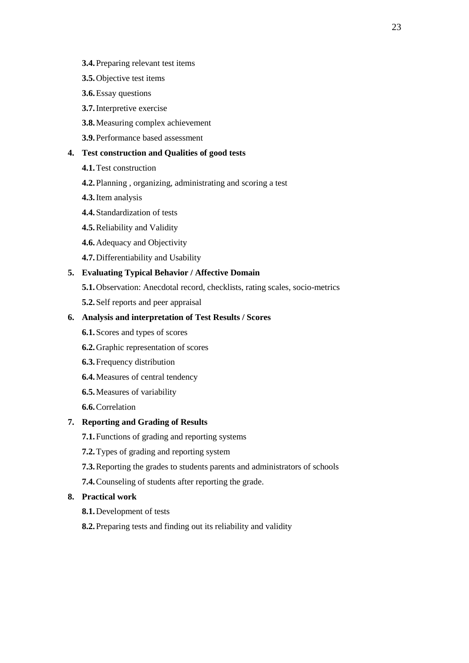- **3.4.**Preparing relevant test items
- **3.5.**Objective test items
- **3.6.**Essay questions
- **3.7.**Interpretive exercise
- **3.8.**Measuring complex achievement
- **3.9.**Performance based assessment

### **4. Test construction and Qualities of good tests**

- **4.1.**Test construction
- **4.2.**Planning , organizing, administrating and scoring a test
- **4.3.**Item analysis
- **4.4.**Standardization of tests
- **4.5.**Reliability and Validity
- **4.6.**Adequacy and Objectivity
- **4.7.**Differentiability and Usability

# **5. Evaluating Typical Behavior / Affective Domain**

- **5.1.**Observation: Anecdotal record, checklists, rating scales, socio-metrics
- **5.2.**Self reports and peer appraisal

# **6. Analysis and interpretation of Test Results / Scores**

- **6.1.**Scores and types of scores
- **6.2.**Graphic representation of scores
- **6.3.**Frequency distribution
- **6.4.**Measures of central tendency
- **6.5.**Measures of variability
- **6.6.**Correlation

### **7. Reporting and Grading of Results**

- **7.1.**Functions of grading and reporting systems
- **7.2.**Types of grading and reporting system
- **7.3.**Reporting the grades to students parents and administrators of schools
- **7.4.**Counseling of students after reporting the grade.

# **8. Practical work**

- **8.1.**Development of tests
- **8.2.**Preparing tests and finding out its reliability and validity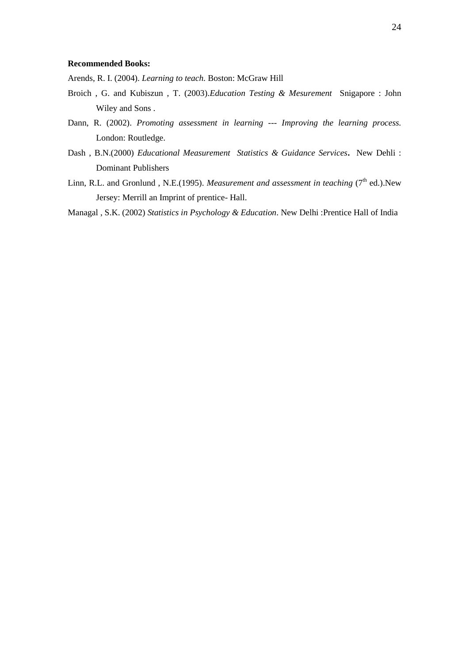#### **Recommended Books:**

Arends, R. I. (2004). *Learning to teach.* Boston: McGraw Hill

- Broich , G. and Kubiszun , T. (2003).*Education Testing & Mesurement* Snigapore : John Wiley and Sons .
- Dann, R. (2002). *Promoting assessment in learning --- Improving the learning process.*  London: Routledge.
- Dash , B.N.(2000) *Educational Measurement Statistics & Guidance Services***.** New Dehli : Dominant Publishers
- Linn, R.L. and Gronlund, N.E.(1995). *Measurement and assessment in teaching* (7<sup>th</sup> ed.).New Jersey: Merrill an Imprint of prentice- Hall.

Managal , S.K. (2002) *Statistics in Psychology & Education*. New Delhi :Prentice Hall of India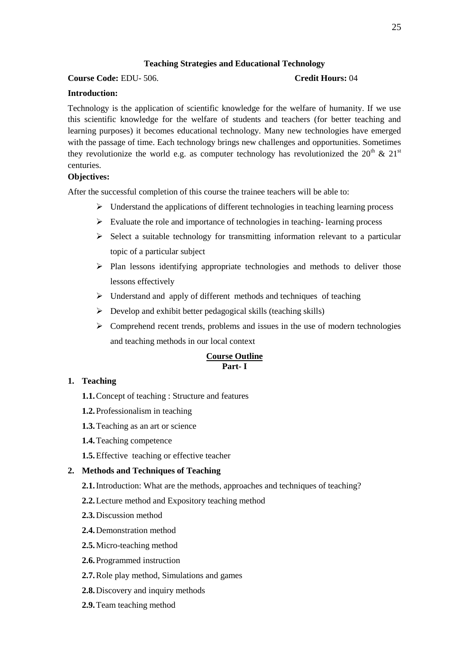# **Teaching Strategies and Educational Technology**

# **Course Code:** EDU- 506. **Credit Hours:** 04

# **Introduction:**

Technology is the application of scientific knowledge for the welfare of humanity. If we use this scientific knowledge for the welfare of students and teachers (for better teaching and learning purposes) it becomes educational technology. Many new technologies have emerged with the passage of time. Each technology brings new challenges and opportunities. Sometimes they revolutionize the world e.g. as computer technology has revolutionized the  $20^{th} \& 21^{st}$ centuries.

# **Objectives:**

After the successful completion of this course the trainee teachers will be able to:

- $\triangleright$  Understand the applications of different technologies in teaching learning process
- $\triangleright$  Evaluate the role and importance of technologies in teaching-learning process
- $\triangleright$  Select a suitable technology for transmitting information relevant to a particular topic of a particular subject
- $\triangleright$  Plan lessons identifying appropriate technologies and methods to deliver those lessons effectively
- $\triangleright$  Understand and apply of different methods and techniques of teaching
- $\triangleright$  Develop and exhibit better pedagogical skills (teaching skills)
- $\triangleright$  Comprehend recent trends, problems and issues in the use of modern technologies and teaching methods in our local context

# **Course Outline Part- I**

# **1. Teaching**

- **1.1.**Concept of teaching : Structure and features
- **1.2.**Professionalism in teaching
- **1.3.**Teaching as an art or science
- **1.4.**Teaching competence
- **1.5.**Effective teaching or effective teacher

# **2. Methods and Techniques of Teaching**

- **2.1.**Introduction: What are the methods, approaches and techniques of teaching?
- **2.2.**Lecture method and Expository teaching method
- **2.3.**Discussion method
- **2.4.**Demonstration method
- **2.5.**Micro-teaching method
- **2.6.**Programmed instruction
- **2.7.**Role play method, Simulations and games
- **2.8.**Discovery and inquiry methods
- **2.9.**Team teaching method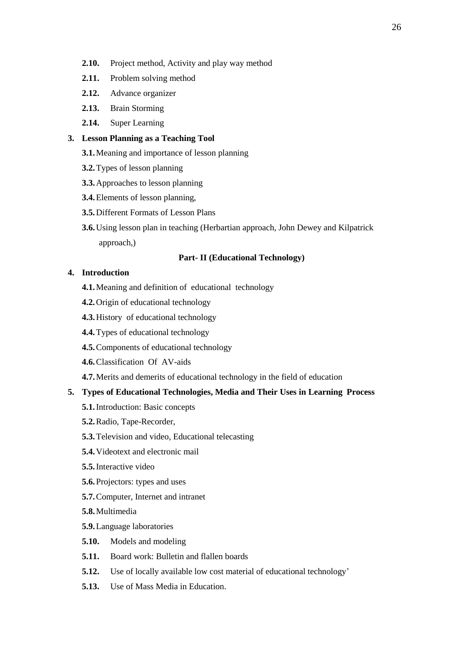- **2.10.** Project method, Activity and play way method
- **2.11.** Problem solving method
- **2.12.** Advance organizer
- **2.13.** Brain Storming
- **2.14.** Super Learning

# **3. Lesson Planning as a Teaching Tool**

- **3.1.**Meaning and importance of lesson planning
- **3.2.**Types of lesson planning
- **3.3.**Approaches to lesson planning
- **3.4.**Elements of lesson planning,
- **3.5.**Different Formats of Lesson Plans
- **3.6.**Using lesson plan in teaching (Herbartian approach, John Dewey and Kilpatrick approach,)

# **Part- II (Educational Technology)**

# **4. Introduction**

- **4.1.**Meaning and definition of educational technology
- **4.2.**Origin of educational technology
- **4.3.**History of educational technology
- **4.4.**Types of educational technology
- **4.5.**Components of educational technology
- **4.6.**Classification Of AV-aids
- **4.7.**Merits and demerits of educational technology in the field of education

### **5. Types of Educational Technologies, Media and Their Uses in Learning Process**

- **5.1.**Introduction: Basic concepts
- **5.2.**Radio, Tape-Recorder,
- **5.3.**Television and video, Educational telecasting
- **5.4.**Videotext and electronic mail
- **5.5.**Interactive video
- **5.6.**Projectors: types and uses
- **5.7.**Computer, Internet and intranet

**5.8.**Multimedia

- **5.9.**Language laboratories
- **5.10.** Models and modeling
- **5.11.** Board work: Bulletin and flallen boards
- **5.12.** Use of locally available low cost material of educational technology'
- **5.13.** Use of Mass Media in Education.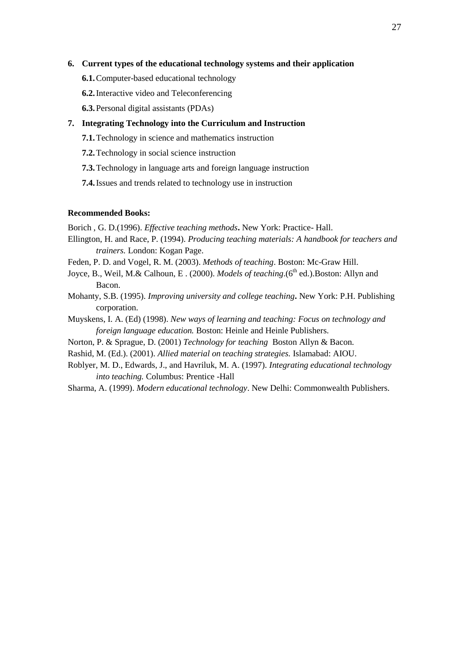#### **6. Current types of the educational technology systems and their application**

- **6.1.**Computer-based educational technology
- **6.2.**Interactive video and Teleconferencing
- **6.3.**Personal digital assistants (PDAs)

#### **7. Integrating Technology into the Curriculum and Instruction**

- **7.1.**Technology in science and mathematics instruction
- **7.2.**Technology in social science instruction
- **7.3.**Technology in language arts and foreign language instruction
- **7.4.**Issues and trends related to technology use in instruction

# **Recommended Books:**

Borich , G. D.(1996). *Effective teaching methods***.** New York: Practice- Hall.

- Ellington, H. and Race, P. (1994). *Producing teaching materials: A handbook for teachers and trainers.* London: Kogan Page.
- Feden, P. D. and Vogel, R. M. (2003). *Methods of teaching*. Boston: Mc-Graw Hill.
- Joyce, B., Weil, M.& Calhoun, E. (2000). *Models of teaching*.(6<sup>th</sup> ed.). Boston: Allyn and Bacon.
- Mohanty, S.B. (1995). *Improving university and college teaching***.** New York: P.H. Publishing corporation.
- Muyskens, I. A. (Ed) (1998). *New ways of learning and teaching: Focus on technology and foreign language education.* Boston: Heinle and Heinle Publishers.
- Norton, P. & Sprague, D. (2001) *Technology for teaching* Boston Allyn & Bacon.
- Rashid, M. (Ed.). (2001). *Allied material on teaching strategies.* Islamabad: AIOU.
- Roblyer, M. D., Edwards, J., and Havriluk, M. A. (1997). *Integrating educational technology into teaching.* Columbus: Prentice -Hall
- Sharma, A. (1999). *Modern educational technology*. New Delhi: Commonwealth Publishers.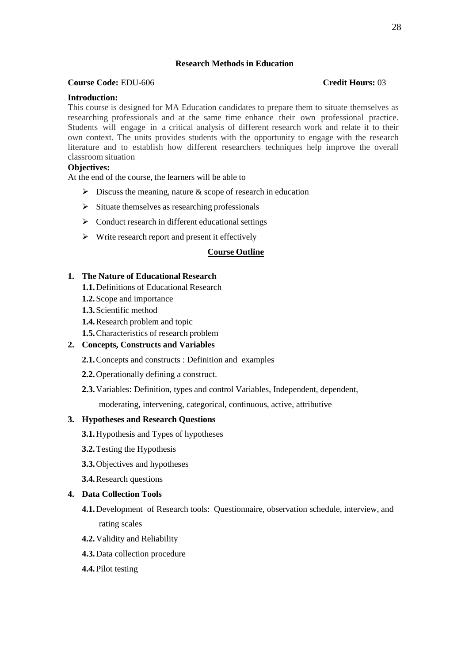# **Research Methods in Education**

#### **Course Code:** EDU-606 **Credit Hours:** 03

#### **Introduction:**

This course is designed for MA Education candidates to prepare them to situate themselves as researching professionals and at the same time enhance their own professional practice. Students will engage in a critical analysis of different research work and relate it to their own context. The units provides students with the opportunity to engage with the research literature and to establish how different researchers techniques help improve the overall classroom situation

# **Objectives:**

At the end of the course, the learners will be able to

- $\triangleright$  Discuss the meaning, nature & scope of research in education
- $\triangleright$  Situate themselves as researching professionals
- $\triangleright$  Conduct research in different educational settings
- $\triangleright$  Write research report and present it effectively

#### **Course Outline**

# **1. The Nature of Educational Research**

- **1.1.**Definitions of Educational Research
- **1.2.**Scope and importance
- **1.3.**Scientific method
- **1.4.**Research problem and topic
- **1.5.**Characteristics of research problem

# **2. Concepts, Constructs and Variables**

- **2.1.**Concepts and constructs : Definition and examples
- **2.2.**Operationally defining a construct.
- **2.3.**Variables: Definition, types and control Variables, Independent, dependent,

moderating, intervening, categorical, continuous, active, attributive

# **3. Hypotheses and Research Questions**

- **3.1.**Hypothesis and Types of hypotheses
- **3.2.**Testing the Hypothesis
- **3.3.**Objectives and hypotheses
- **3.4.**Research questions

#### **4. Data Collection Tools**

- **4.1.**Development of Research tools: Questionnaire, observation schedule, interview, and rating scales
- **4.2.**Validity and Reliability
- **4.3.**Data collection procedure
- **4.4.**Pilot testing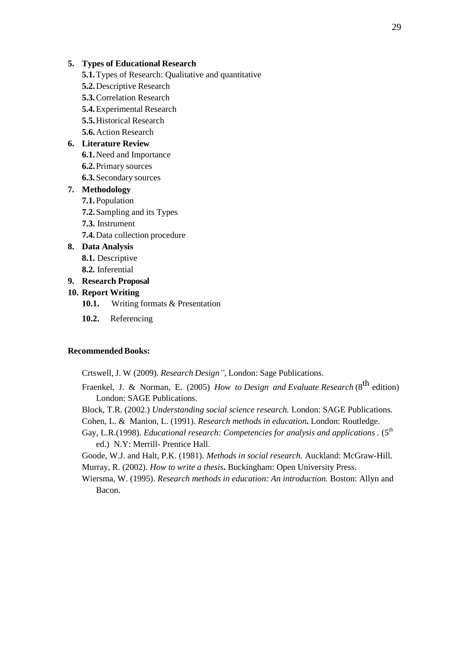#### **5. Types of Educational Research**

- **5.1.**Types of Research: Qualitative and quantitative
- **5.2.**Descriptive Research
- **5.3.**Correlation Research
- **5.4.**Experimental Research
- **5.5.**Historical Research
- **5.6.**Action Research

### **6. Literature Review**

- **6.1.**Need and Importance
- **6.2.**Primary sources
- **6.3.**Secondary sources

#### **7. Methodology**

- **7.1.**Population
- **7.2.**Sampling and its Types
- **7.3.** Instrument
- **7.4.**Data collection procedure

# **8. Data Analysis**

- **8.1.** Descriptive
- **8.2.** Inferential

# **9. Research Proposal**

# **10. Report Writing**

- **10.1.** Writing formats & Presentation
- **10.2.** Referencing

#### **Recommended Books:**

Crtswell, J. W (2009). *Research Design",* London: Sage Publications.

- Fraenkel, J. & Norman, E. (2005) *How to Design and Evaluate Research* (8<sup>th</sup> edition) London: SAGE Publications.
- Block, T.R. (2002.) *Understanding social science research.* London: SAGE Publications.
- Cohen, L. & Manion, L. (1991). *Research methods in education***.** London: Routledge.
- Gay, L.R.(1998). *Educational research: Competencies for analysis and applications* . (5<sup>th</sup> ed.) N.Y: Merrill- Prentice Hall.

Goode, W.J. and Halt, P.K. (1981). *Methods in social research.* Auckland: McGraw-Hill. Murray, R. (2002). *How to write a thesis***.** Buckingham: Open University Press.

Wiersma, W. (1995). *Research methods in education: An introduction.* Boston: Allyn and Bacon.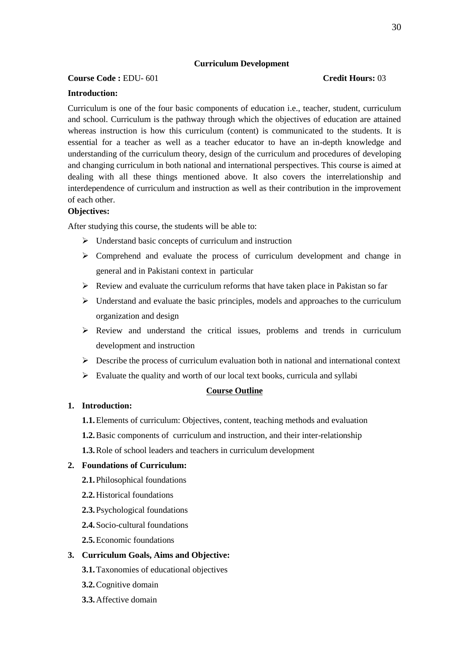### **Curriculum Development**

# **Course Code :** EDU- 601 **Credit Hours:** 03

### **Introduction:**

Curriculum is one of the four basic components of education i.e., teacher, student, curriculum and school. Curriculum is the pathway through which the objectives of education are attained whereas instruction is how this curriculum (content) is communicated to the students. It is essential for a teacher as well as a teacher educator to have an in-depth knowledge and understanding of the curriculum theory, design of the curriculum and procedures of developing and changing curriculum in both national and international perspectives. This course is aimed at dealing with all these things mentioned above. It also covers the interrelationship and interdependence of curriculum and instruction as well as their contribution in the improvement of each other.

# **Objectives:**

After studying this course, the students will be able to:

- $\triangleright$  Understand basic concepts of curriculum and instruction
- $\geq$  Comprehend and evaluate the process of curriculum development and change in general and in Pakistani context in particular
- $\triangleright$  Review and evaluate the curriculum reforms that have taken place in Pakistan so far
- $\triangleright$  Understand and evaluate the basic principles, models and approaches to the curriculum organization and design
- $\triangleright$  Review and understand the critical issues, problems and trends in curriculum development and instruction
- $\triangleright$  Describe the process of curriculum evaluation both in national and international context
- $\triangleright$  Evaluate the quality and worth of our local text books, curricula and syllabi

#### **Course Outline**

# **1. Introduction:**

- **1.1.**Elements of curriculum: Objectives, content, teaching methods and evaluation
- **1.2.**Basic components of curriculum and instruction, and their inter-relationship
- **1.3.**Role of school leaders and teachers in curriculum development

#### **2. Foundations of Curriculum:**

- **2.1.**Philosophical foundations
- **2.2.**Historical foundations
- **2.3.**Psychological foundations
- **2.4.**Socio-cultural foundations
- **2.5.**Economic foundations

# **3. Curriculum Goals, Aims and Objective:**

- **3.1.**Taxonomies of educational objectives
- **3.2.**Cognitive domain
- **3.3.**Affective domain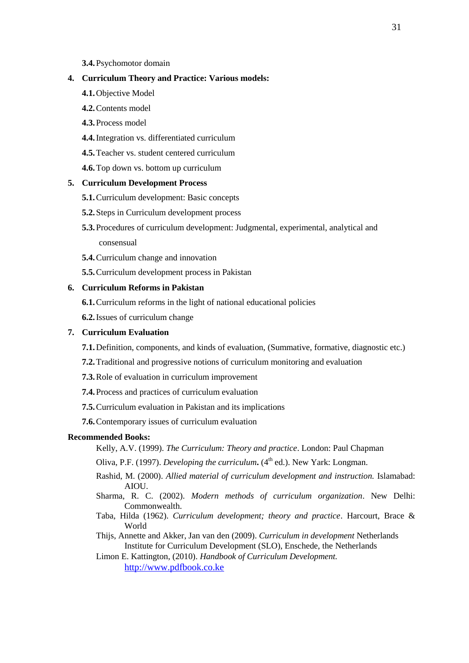#### **3.4.**Psychomotor domain

#### **4. Curriculum Theory and Practice: Various models:**

- **4.1.**Objective Model
- **4.2.**Contents model
- **4.3.**Process model
- **4.4.**Integration vs. differentiated curriculum
- **4.5.**Teacher vs. student centered curriculum
- **4.6.**Top down vs. bottom up curriculum

#### **5. Curriculum Development Process**

- **5.1.**Curriculum development: Basic concepts
- **5.2.**Steps in Curriculum development process
- **5.3.**Procedures of curriculum development: Judgmental, experimental, analytical and consensual
- **5.4.**Curriculum change and innovation
- **5.5.**Curriculum development process in Pakistan

# **6. Curriculum Reforms in Pakistan**

- **6.1.**Curriculum reforms in the light of national educational policies
- **6.2.**Issues of curriculum change

# **7. Curriculum Evaluation**

- **7.1.**Definition, components, and kinds of evaluation, (Summative, formative, diagnostic etc.)
- **7.2.**Traditional and progressive notions of curriculum monitoring and evaluation
- **7.3.**Role of evaluation in curriculum improvement
- **7.4.**Process and practices of curriculum evaluation
- **7.5.**Curriculum evaluation in Pakistan and its implications
- **7.6.**Contemporary issues of curriculum evaluation

#### **Recommended Books:**

- Kelly, A.V. (1999). *The Curriculum: Theory and practice*. London: Paul Chapman
- Oliva, P.F. (1997). *Developing the curriculum*. (4<sup>th</sup> ed.). New Yark: Longman.
- Rashid, M. (2000). *Allied material of curriculum development and instruction.* Islamabad: AIOU.
- Sharma, R. C. (2002). *Modern methods of curriculum organization*. New Delhi: Commonwealth.
- Taba, Hilda (1962). *Curriculum development; theory and practice*. Harcourt, Brace & World
- Thijs, Annette and Akker, Jan van den (2009). *Curriculum in development* Netherlands Institute for Curriculum Development (SLO), Enschede, the Netherlands
- Limon E. Kattington, (2010). *Handbook of Curriculum Development.* [http://www.pdfbook.co.ke](http://www.pdfbook.co.ke/)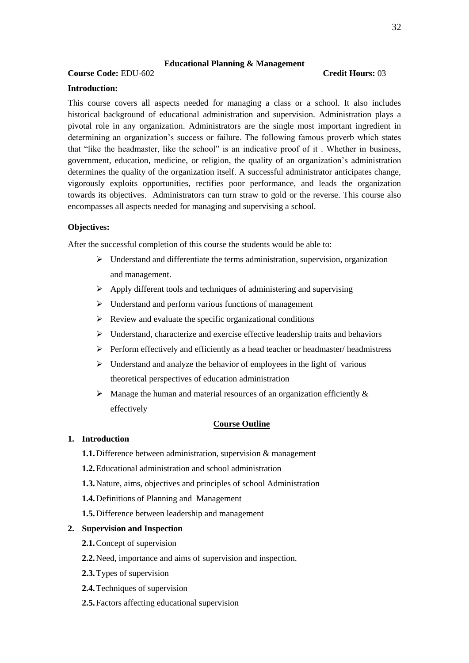# **Educational Planning & Management**

# **Course Code:** EDU-602 **Credit Hours:** 03

#### **Introduction:**

This course covers all aspects needed for managing a class or a school. It also includes historical background of educational administration and supervision. Administration plays a pivotal role in any organization. Administrators are the single most important ingredient in determining an organization's success or failure. The following famous proverb which states that "like the headmaster, like the school" is an indicative proof of it . Whether in business, government, education, medicine, or religion, the quality of an organization's administration determines the quality of the organization itself. A successful administrator anticipates change, vigorously exploits opportunities, rectifies poor performance, and leads the organization towards its objectives. Administrators can turn straw to gold or the reverse. This course also encompasses all aspects needed for managing and supervising a school.

#### **Objectives:**

After the successful completion of this course the students would be able to:

- $\triangleright$  Understand and differentiate the terms administration, supervision, organization and management.
- $\triangleright$  Apply different tools and techniques of administering and supervising
- $\triangleright$  Understand and perform various functions of management
- $\triangleright$  Review and evaluate the specific organizational conditions
- $\triangleright$  Understand, characterize and exercise effective leadership traits and behaviors
- $\triangleright$  Perform effectively and efficiently as a head teacher or headmaster/ headmistress
- $\triangleright$  Understand and analyze the behavior of employees in the light of various theoretical perspectives of education administration
- $\triangleright$  Manage the human and material resources of an organization efficiently & effectively

#### **Course Outline**

### **1. Introduction**

- **1.1.**Difference between administration, supervision & management
- **1.2.**Educational administration and school administration
- **1.3.**Nature, aims, objectives and principles of school Administration
- **1.4.**Definitions of Planning and Management
- **1.5.**Difference between leadership and management

#### **2. Supervision and Inspection**

- **2.1.**Concept of supervision
- **2.2.**Need, importance and aims of supervision and inspection.
- **2.3.**Types of supervision
- **2.4.**Techniques of supervision
- **2.5.**Factors affecting educational supervision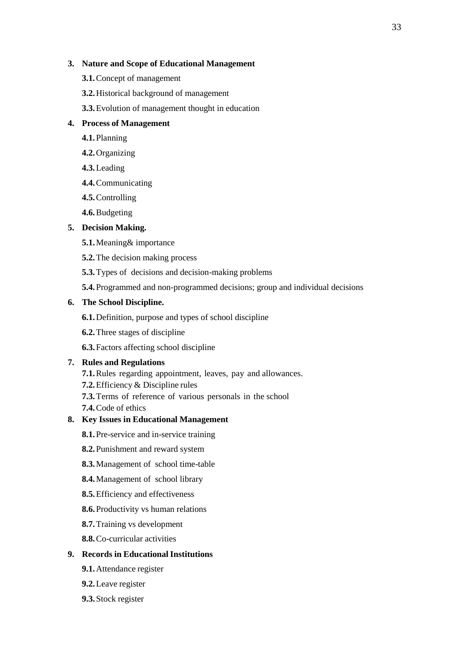# **3. Nature and Scope of Educational Management**

- **3.1.**Concept of management
- **3.2.**Historical background of management
- **3.3.**Evolution of management thought in education

# **4. Process of Management**

- **4.1.**Planning
- **4.2.**Organizing
- **4.3.**Leading
- **4.4.**Communicating
- **4.5.**Controlling
- **4.6.**Budgeting

# **5. Decision Making.**

- **5.1.**Meaning& importance
- **5.2.**The decision making process
- **5.3.**Types of decisions and decision-making problems
- **5.4.**Programmed and non-programmed decisions; group and individual decisions

# **6. The School Discipline.**

- **6.1.**Definition, purpose and types of school discipline
- **6.2.**Three stages of discipline
- **6.3.**Factors affecting school discipline

# **7. Rules and Regulations**

- **7.1.**Rules regarding appointment, leaves, pay and allowances.
- **7.2.**Efficiency & Discipline rules
- **7.3.**Terms of reference of various personals in the school
- **7.4.**Code of ethics

# **8. Key Issues in Educational Management**

- **8.1.**Pre-service and in-service training
- **8.2.**Punishment and reward system
- **8.3.**Management of school time-table
- **8.4.**Management of school library
- **8.5.**Efficiency and effectiveness
- **8.6.**Productivity vs human relations
- **8.7.**Training vs development
- **8.8.**Co-curricular activities

# **9. Records in EducationalInstitutions**

- **9.1.**Attendance register
- **9.2.**Leave register
- **9.3.**Stock register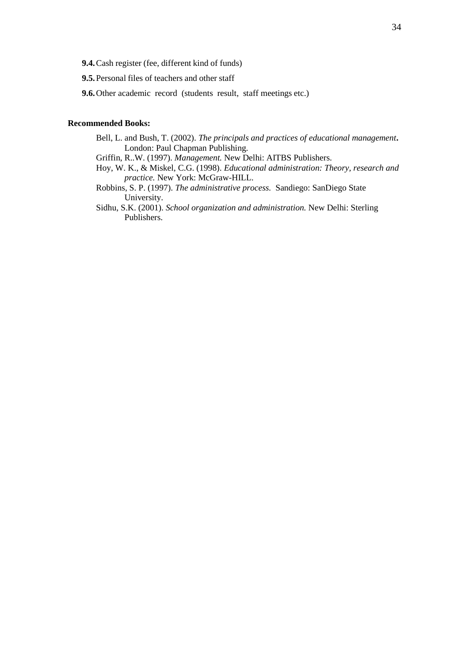**9.4.**Cash register (fee, different kind of funds)

**9.5.**Personal files of teachers and other staff

**9.6.**Other academic record (students result, staff meetings etc.)

#### **Recommended Books:**

Bell, L. and Bush, T. (2002). *The principals and practices of educational management***.**  London: Paul Chapman Publishing.

Griffin, R..W. (1997). *Management.* New Delhi: AITBS Publishers.

- Hoy, W. K., & Miskel, C.G. (1998). *Educational administration: Theory, research and practice.* New York: McGraw-HILL.
- Robbins, S. P. (1997). *The administrative process.* Sandiego: SanDiego State University.
- Sidhu, S.K. (2001). *School organization and administration.* New Delhi: Sterling Publishers.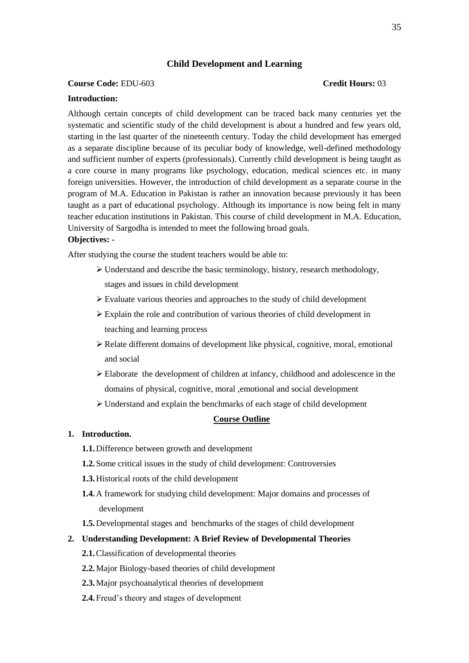# **Child Development and Learning**

#### **Course Code:** EDU-603 **Credit Hours:** 03

# **Introduction:**

Although certain concepts of child development can be traced back many centuries yet the systematic and scientific study of the child development is about a hundred and few years old, starting in the last quarter of the nineteenth century. Today the child development has emerged as a separate discipline because of its peculiar body of knowledge, well-defined methodology and sufficient number of experts (professionals). Currently child development is being taught as a core course in many programs like psychology, education, medical sciences etc. in many foreign universities. However, the introduction of child development as a separate course in the program of M.A. Education in Pakistan is rather an innovation because previously it has been taught as a part of educational psychology. Although its importance is now being felt in many teacher education institutions in Pakistan. This course of child development in M.A. Education, University of Sargodha is intended to meet the following broad goals.

# **Objectives: -**

After studying the course the student teachers would be able to:

- Understand and describe the basic terminology, history, research methodology, stages and issues in child development
- Evaluate various theories and approaches to the study of child development
- Explain the role and contribution of various theories of child development in teaching and learning process
- $\triangleright$  Relate different domains of development like physical, cognitive, moral, emotional and social
- $\triangleright$  Elaborate the development of children at infancy, childhood and adolescence in the domains of physical, cognitive, moral ,emotional and social development
- Understand and explain the benchmarks of each stage of child development

#### **Course Outline**

#### **1. Introduction.**

- **1.1.**Difference between growth and development
- **1.2.**Some critical issues in the study of child development: Controversies
- **1.3.**Historical roots of the child development
- **1.4.**A framework for studying child development: Major domains and processes of development
- **1.5.**Developmental stages and benchmarks of the stages of child development

#### **2. Understanding Development: A Brief Review of Developmental Theories**

- **2.1.**Classification of developmental theories
- **2.2.**Major Biology-based theories of child development
- **2.3.**Major psychoanalytical theories of development
- **2.4.**Freud's theory and stages of development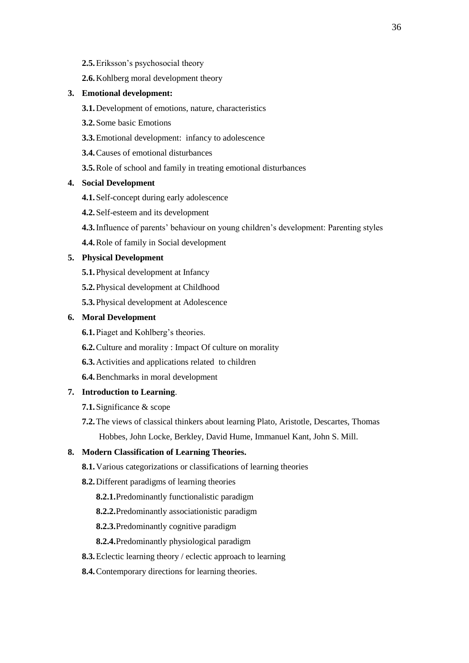- **2.5.**Eriksson's psychosocial theory
- **2.6.**Kohlberg moral development theory

# **3. Emotional development:**

- **3.1.**Development of emotions, nature, characteristics
- **3.2.**Some basic Emotions
- **3.3.**Emotional development: infancy to adolescence
- **3.4.**Causes of emotional disturbances
- **3.5.**Role of school and family in treating emotional disturbances

#### **4. Social Development**

- **4.1.**Self-concept during early adolescence
- **4.2.**Self-esteem and its development
- **4.3.**Influence of parents' behaviour on young children's development: Parenting styles
- **4.4.**Role of family in Social development

# **5. Physical Development**

- **5.1.**Physical development at Infancy
- **5.2.**Physical development at Childhood
- **5.3.**Physical development at Adolescence

# **6. Moral Development**

- **6.1.**Piaget and Kohlberg's theories.
- **6.2.**Culture and morality : Impact Of culture on morality
- **6.3.**Activities and applications related to children
- **6.4.**Benchmarks in moral development

# **7. Introduction to Learning**.

- **7.1.**Significance & scope
- **7.2.**The views of classical thinkers about learning Plato, Aristotle, Descartes, Thomas Hobbes, John Locke, Berkley, David Hume, Immanuel Kant, John S. Mill.

### **8. Modern Classification of Learning Theories.**

- **8.1.**Various categorizations or classifications of learning theories
- **8.2.**Different paradigms of learning theories
	- **8.2.1.**Predominantly functionalistic paradigm
	- **8.2.2.**Predominantly associationistic paradigm
	- **8.2.3.**Predominantly cognitive paradigm
	- **8.2.4.**Predominantly physiological paradigm
- **8.3.**Eclectic learning theory / eclectic approach to learning
- **8.4.**Contemporary directions for learning theories.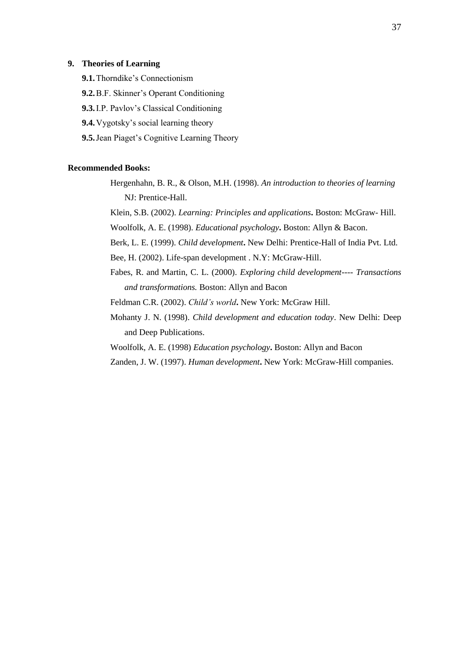## **9. Theories of Learning**

- **9.1.**Thorndike's Connectionism
- **9.2.**B.F. Skinner's Operant Conditioning
- **9.3.**I.P. Pavlov's Classical Conditioning
- **9.4.**Vygotsky's social learning theory
- **9.5.**Jean Piaget's Cognitive Learning Theory

#### **Recommended Books:**

Hergenhahn, B. R., & Olson, M.H. (1998). *An introduction to theories of learning*  NJ: Prentice-Hall.

Klein, S.B. (2002). *Learning: Principles and applications***.** Boston: McGraw- Hill. Woolfolk, A. E. (1998). *Educational psychology***.** Boston: Allyn & Bacon.

Berk, L. E. (1999). *Child development***.** New Delhi: Prentice-Hall of India Pvt. Ltd.

Bee, H. (2002). Life-span development . N.Y: McGraw-Hill.

Fabes, R. and Martin, C. L. (2000). *Exploring child development---- Transactions and transformations.* Boston: Allyn and Bacon

Feldman C.R. (2002). *Child's world***.** New York: McGraw Hill.

Mohanty J. N. (1998). *Child development and education today*. New Delhi: Deep and Deep Publications.

Woolfolk, A. E. (1998) *Education psychology***.** Boston: Allyn and Bacon

Zanden, J. W. (1997). *Human development***.** New York: McGraw-Hill companies.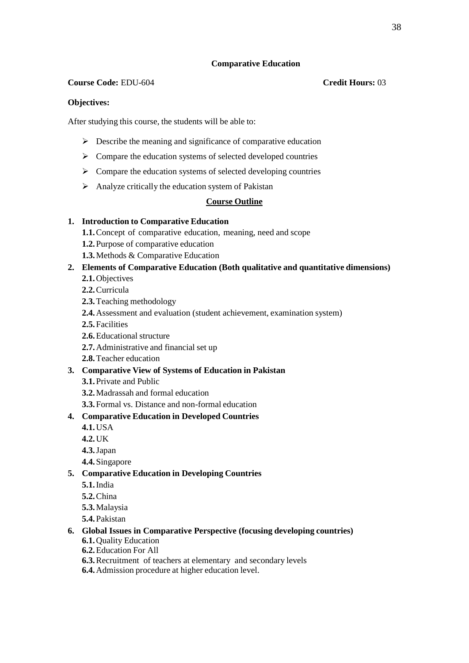## **Comparative Education**

## **Course Code:** EDU-604 **Credit Hours:** 03

# **Objectives:**

After studying this course, the students will be able to:

- $\triangleright$  Describe the meaning and significance of comparative education
- $\triangleright$  Compare the education systems of selected developed countries
- $\triangleright$  Compare the education systems of selected developing countries
- $\triangleright$  Analyze critically the education system of Pakistan

# **Course Outline**

# **1. Introduction to Comparative Education**

- **1.1.**Concept of comparative education, meaning, need and scope
- **1.2.**Purpose of comparative education
- **1.3.**Methods & Comparative Education

# **2. Elements of Comparative Education (Both qualitative and quantitative dimensions)**

- **2.1.**Objectives
- **2.2.**Curricula
- **2.3.**Teaching methodology
- **2.4.**Assessment and evaluation (student achievement, examination system)
- **2.5.**Facilities
- **2.6.**Educational structure
- **2.7.**Administrative and financial set up
- **2.8.**Teacher education

## **3. Comparative View of Systems of Education in Pakistan**

- **3.1.**Private and Public
- **3.2.**Madrassah and formal education
- **3.3.**Formal vs. Distance and non-formal education

# **4. Comparative Education in Developed Countries**

- **4.1.**USA
- **4.2.**UK
- **4.3.**Japan
- **4.4.**Singapore
- **5. Comparative Education in Developing Countries**
	- **5.1.**India
	- **5.2.**China
	- **5.3.**Malaysia
	- **5.4.**Pakistan

## **6. Global Issues in Comparative Perspective (focusing developing countries)**

- **6.1.**Quality Education
- **6.2.**Education For All
- **6.3.**Recruitment of teachers at elementary and secondary levels
- **6.4.**Admission procedure at higher education level.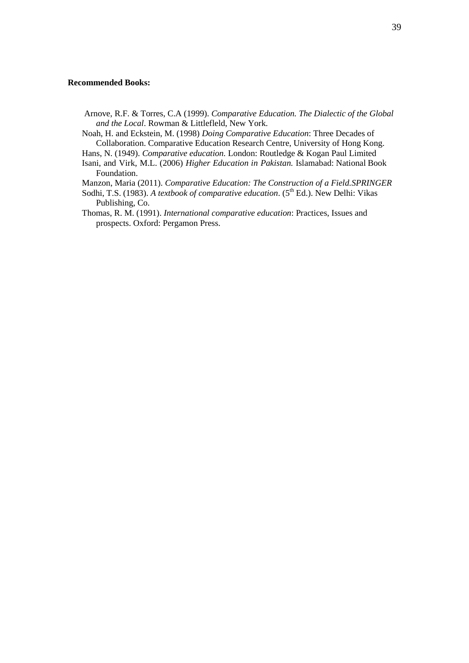#### **Recommended Books:**

Arnove, R.F. & Torres, C.A (1999). *Comparative Education. The Dialectic of the Global and the Local*. Rowman & Littlefleld, New York.

Noah, H. and Eckstein, M. (1998) *Doing Comparative Education*: Three Decades of Collaboration. Comparative Education Research Centre, University of Hong Kong.

Hans, N. (1949). *Comparative education.* London: Routledge & Kogan Paul Limited

Isani, and Virk, M.L. (2006) *Higher Education in Pakistan.* Islamabad: National Book Foundation.

Manzon, Maria (2011). *Comparative Education: The Construction of a Field.SPRINGER*

- Sodhi, T.S. (1983). *A textbook of comparative education*. (5<sup>th</sup> Ed.). New Delhi: Vikas Publishing, Co.
- Thomas, R. M. (1991). *International comparative education*: Practices, Issues and prospects. Oxford: Pergamon Press.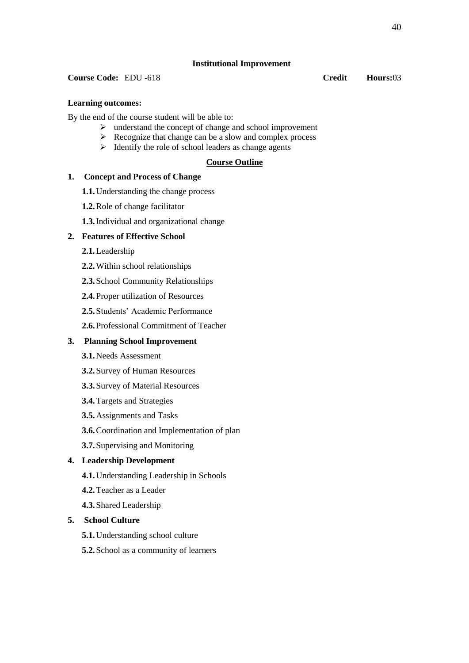## **Institutional Improvement**

## **Course Code:** EDU -618 **Credit Hours:**03

# **Learning outcomes:**

By the end of the course student will be able to:

- $\triangleright$  understand the concept of change and school improvement
- $\triangleright$  Recognize that change can be a slow and complex process
- $\triangleright$  Identify the role of school leaders as change agents

# **Course Outline**

## **1. Concept and Process of Change**

- **1.1.**Understanding the change process
- **1.2.**Role of change facilitator
- **1.3.**Individual and organizational change

# **2. Features of Effective School**

- **2.1.**Leadership
- **2.2.**Within school relationships
- **2.3.**School Community Relationships
- **2.4.**Proper utilization of Resources
- **2.5.**Students' Academic Performance
- **2.6.**Professional Commitment of Teacher

# **3. Planning School Improvement**

- **3.1.**Needs Assessment
- **3.2.**Survey of Human Resources
- **3.3.**Survey of Material Resources
- **3.4.**Targets and Strategies
- **3.5.**Assignments and Tasks
- **3.6.**Coordination and Implementation of plan
- **3.7.**Supervising and Monitoring

# **4. Leadership Development**

- **4.1.**Understanding Leadership in Schools
- **4.2.**Teacher as a Leader
- **4.3.**Shared Leadership

## **5. School Culture**

- **5.1.**Understanding school culture
- **5.2.**School as a community of learners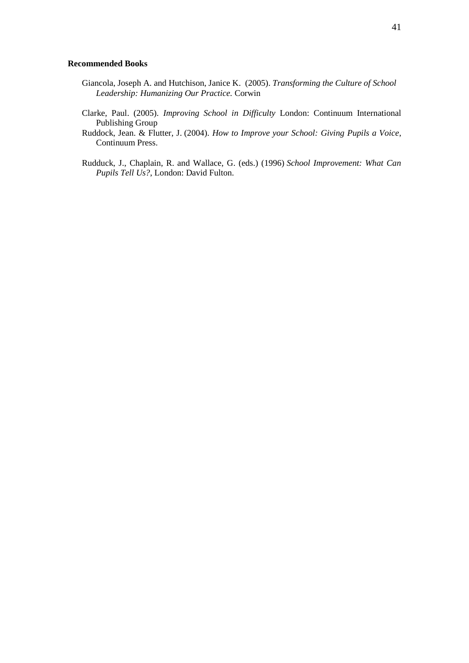#### **Recommended Books**

- Giancola, Joseph A. and Hutchison, Janice K. (2005). *Transforming the Culture of School Leadership: Humanizing Our Practice.* Corwin
- Clarke, Paul. (2005). *Improving School in Difficulty* London: Continuum International Publishing Group
- Ruddock, Jean. & Flutter, J. (2004). *How to Improve your School: Giving Pupils a Voice*, Continuum Press.
- Rudduck, J., Chaplain, R. and Wallace, G. (eds.) (1996) *School Improvement: What Can Pupils Tell Us?*, London: David Fulton.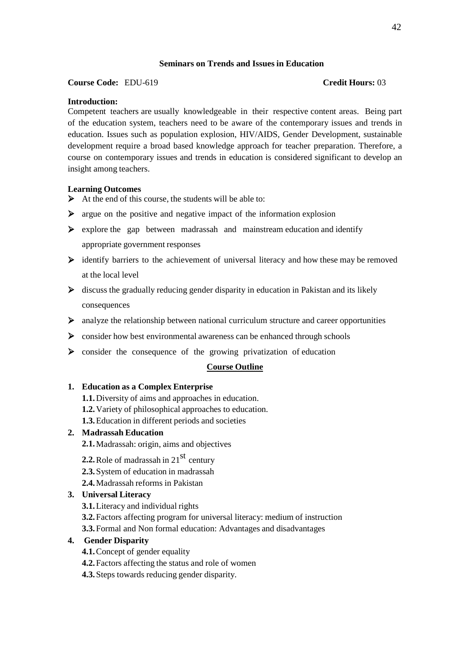# **Seminars on Trends and Issues in Education**

# **Course Code:** EDU-619 **Credit Hours:** 03

# **Introduction:**

Competent teachers are usually knowledgeable in their respective content areas. Being part of the education system, teachers need to be aware of the contemporary issues and trends in education. Issues such as population explosion, HIV/AIDS, Gender Development, sustainable development require a broad based knowledge approach for teacher preparation. Therefore, a course on contemporary issues and trends in education is considered significant to develop an insight among teachers.

# **Learning Outcomes**

- $\triangleright$  At the end of this course, the students will be able to:
- $\triangleright$  argue on the positive and negative impact of the information explosion
- $\triangleright$  explore the gap between madrassah and mainstream education and identify appropriate government responses
- $\triangleright$  identify barriers to the achievement of universal literacy and how these may be removed at the local level
- $\triangleright$  discuss the gradually reducing gender disparity in education in Pakistan and its likely consequences
- $\triangleright$  analyze the relationship between national curriculum structure and career opportunities
- $\triangleright$  consider how best environmental awareness can be enhanced through schools
- $\triangleright$  consider the consequence of the growing privatization of education

## **Course Outline**

## **1. Education as a Complex Enterprise**

- **1.1.**Diversity of aims and approaches in education.
- **1.2.**Variety of philosophical approaches to education.
- **1.3.**Education in different periods and societies

# **2. Madrassah Education**

**2.1.**Madrassah: origin, aims and objectives

- **2.2.** Role of madrassah in 21 $^{st}$  century
- **2.3.**System of education in madrassah
- **2.4.**Madrassah reforms in Pakistan

# **3. Universal Literacy**

- **3.1.**Literacy and individual rights
- **3.2.**Factors affecting program for universal literacy: medium of instruction
- **3.3.**Formal and Non formal education: Advantages and disadvantages

# **4. Gender Disparity**

- **4.1.**Concept of gender equality
- **4.2.**Factors affecting the status and role of women
- **4.3.**Steps towards reducing gender disparity.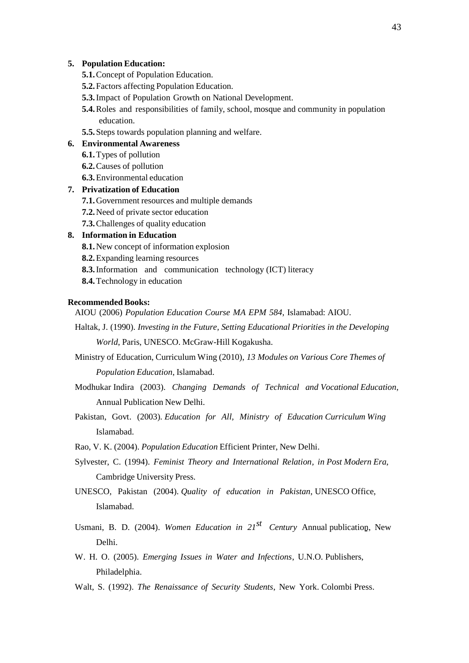#### **5. Population Education:**

- **5.1.**Concept of Population Education.
- **5.2.**Factors affecting Population Education.
- **5.3.**Impact of Population Growth on National Development.
- **5.4.**Roles and responsibilities of family, school, mosque and community in population education.
- **5.5.**Steps towards population planning and welfare.

#### **6. Environmental Awareness**

- **6.1.**Types of pollution
- **6.2.**Causes of pollution
- **6.3.**Environmental education

#### **7. Privatization of Education**

- **7.1.**Government resources and multiple demands
- **7.2.**Need of private sector education
- **7.3.**Challenges of quality education

# **8. Information in Education**

- **8.1.**New concept of information explosion
- **8.2.**Expanding learning resources
- **8.3.**Information and communication technology (ICT) literacy
- **8.4.**Technology in education

#### **Recommended Books:**

- AIOU (2006) *Population Education Course MA EPM 584*, Islamabad: AIOU.
- Haltak, J. (1990). *Investing in the Future, Setting Educational Priorities in the Developing World*, Paris, UNESCO. McGraw-Hill Kogakusha.
- Ministry of Education, Curriculum Wing (2010), *13 Modules on Various Core Themes of*

*Population Education*, Islamabad.

- Modhukar Indira (2003). *Changing Demands of Technical and Vocational Education*, Annual Publication New Delhi.
- Pakistan, Govt. (2003). *Education for All, Ministry of Education Curriculum Wing* Islamabad.
- Rao, V. K. (2004). *Population Education* Efficient Printer, New Delhi.
- Sylvester, C. (1994). *Feminist Theory and International Relation, in Post Modern Era*, Cambridge University Press.
- UNESCO, Pakistan (2004). *Quality of education in Pakistan*, UNESCO Office, Islamabad.
- Usmani, B. D. (2004). *Women Education in 21<sup>st</sup> Century* Annual publication, New Delhi.
- W. H. O. (2005). *Emerging Issues in Water and Infections*, U.N.O. Publishers, Philadelphia.
- Walt, S. (1992). *The Renaissance of Security Students*, New York. Colombi Press.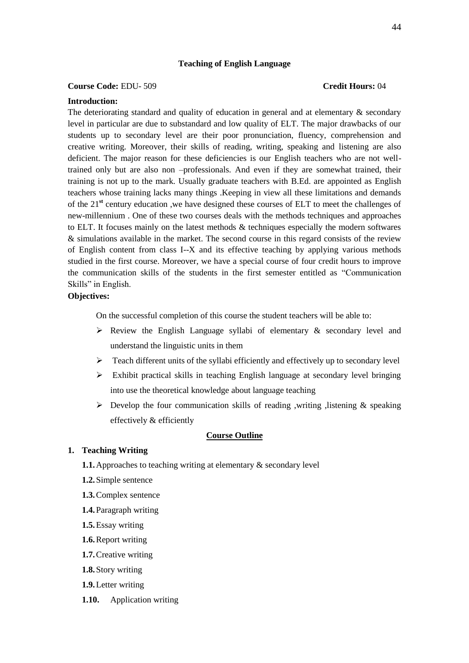#### **Teaching of English Language**

#### **Course Code:** EDU- 509 **Credit Hours:** 04

#### **Introduction:**

The deteriorating standard and quality of education in general and at elementary & secondary level in particular are due to substandard and low quality of ELT. The major drawbacks of our students up to secondary level are their poor pronunciation, fluency, comprehension and creative writing. Moreover, their skills of reading, writing, speaking and listening are also deficient. The major reason for these deficiencies is our English teachers who are not welltrained only but are also non –professionals. And even if they are somewhat trained, their training is not up to the mark. Usually graduate teachers with B.Ed. are appointed as English teachers whose training lacks many things .Keeping in view all these limitations and demands of the 21**st** century education ,we have designed these courses of ELT to meet the challenges of new-millennium . One of these two courses deals with the methods techniques and approaches to ELT. It focuses mainly on the latest methods & techniques especially the modern softwares & simulations available in the market. The second course in this regard consists of the review of English content from class I--X and its effective teaching by applying various methods studied in the first course. Moreover, we have a special course of four credit hours to improve the communication skills of the students in the first semester entitled as "Communication Skills" in English.

#### **Objectives:**

On the successful completion of this course the student teachers will be able to:

- $\triangleright$  Review the English Language syllabi of elementary & secondary level and understand the linguistic units in them
- $\triangleright$  Teach different units of the syllabi efficiently and effectively up to secondary level
- $\triangleright$  Exhibit practical skills in teaching English language at secondary level bringing into use the theoretical knowledge about language teaching
- $\triangleright$  Develop the four communication skills of reading ,writing ,listening & speaking effectively & efficiently

#### **Course Outline**

#### **1. Teaching Writing**

- **1.1.**Approaches to teaching writing at elementary & secondary level
- **1.2.**Simple sentence
- **1.3.**Complex sentence
- **1.4.**Paragraph writing
- **1.5.**Essay writing
- **1.6.**Report writing
- **1.7.**Creative writing
- **1.8.**Story writing
- **1.9.**Letter writing
- **1.10.** Application writing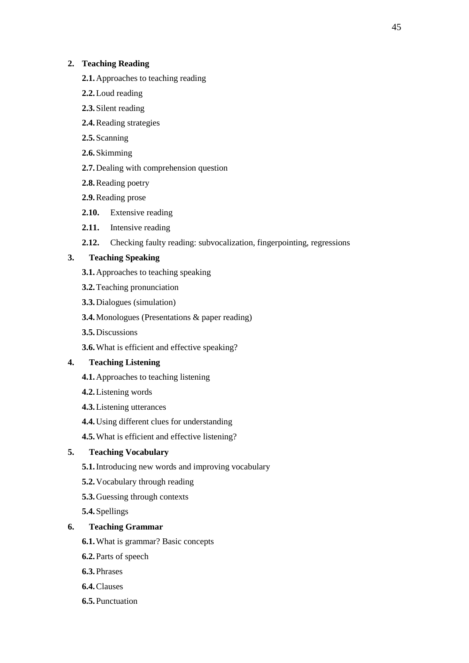# **2. Teaching Reading**

- **2.1.**Approaches to teaching reading
- **2.2.**Loud reading
- **2.3.**Silent reading
- **2.4.**Reading strategies
- **2.5.**Scanning
- **2.6.**Skimming
- **2.7.**Dealing with comprehension question
- **2.8.**Reading poetry
- **2.9.**Reading prose
- **2.10.** Extensive reading
- **2.11.** Intensive reading
- **2.12.** Checking faulty reading: subvocalization, fingerpointing, regressions

# **3. Teaching Speaking**

- **3.1.**Approaches to teaching speaking
- **3.2.**Teaching pronunciation
- **3.3.**Dialogues (simulation)
- **3.4.**Monologues (Presentations & paper reading)
- **3.5.**Discussions
- **3.6.**What is efficient and effective speaking?

# **4. Teaching Listening**

- **4.1.**Approaches to teaching listening
- **4.2.**Listening words
- **4.3.**Listening utterances
- **4.4.**Using different clues for understanding
- **4.5.**What is efficient and effective listening?

# **5. Teaching Vocabulary**

- **5.1.**Introducing new words and improving vocabulary
- **5.2.**Vocabulary through reading
- **5.3.**Guessing through contexts
- **5.4.**Spellings

# **6. Teaching Grammar**

- **6.1.**What is grammar? Basic concepts
- **6.2.**Parts of speech
- **6.3.**Phrases
- **6.4.**Clauses
- **6.5.**Punctuation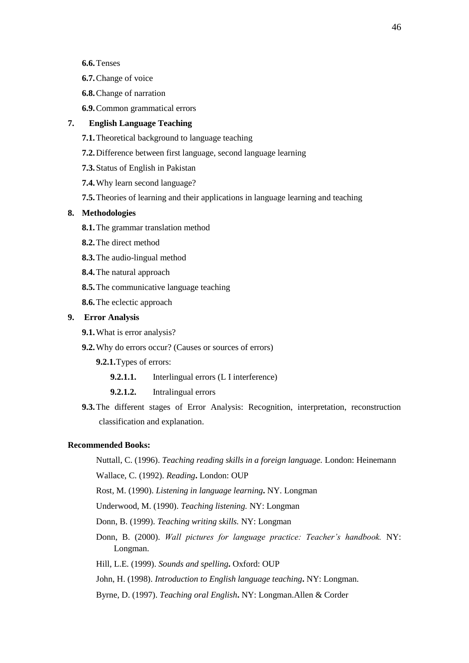- **6.7.**Change of voice
- **6.8.**Change of narration
- **6.9.**Common grammatical errors

# **7. English Language Teaching**

- **7.1.**Theoretical background to language teaching
- **7.2.**Difference between first language, second language learning
- **7.3.**Status of English in Pakistan
- **7.4.**Why learn second language?
- **7.5.**Theories of learning and their applications in language learning and teaching

#### **8. Methodologies**

- **8.1.**The grammar translation method
- **8.2.**The direct method
- **8.3.**The audio-lingual method
- **8.4.**The natural approach
- **8.5.**The communicative language teaching
- **8.6.**The eclectic approach

#### **9. Error Analysis**

- **9.1.**What is error analysis?
- **9.2.**Why do errors occur? (Causes or sources of errors)
	- **9.2.1.**Types of errors:
		- **9.2.1.1.** Interlingual errors (L I interference)
		- **9.2.1.2.** Intralingual errors
- **9.3.**The different stages of Error Analysis: Recognition, interpretation, reconstruction classification and explanation.

#### **Recommended Books:**

Nuttall, C. (1996). *Teaching reading skills in a foreign language.* London: Heinemann

Wallace, C. (1992). *Reading***.** London: OUP

Rost, M. (1990). *Listening in language learning***.** NY. Longman

Underwood, M. (1990). *Teaching listening.* NY: Longman

Donn, B. (1999). *Teaching writing skills.* NY: Longman

- Donn, B. (2000). *Wall pictures for language practice: Teacher's handbook.* NY: Longman.
- Hill, L.E. (1999). *Sounds and spelling***.** Oxford: OUP
- John, H. (1998). *Introduction to English language teaching***.** NY: Longman.

Byrne, D. (1997). *Teaching oral English***.** NY: Longman.Allen & Corder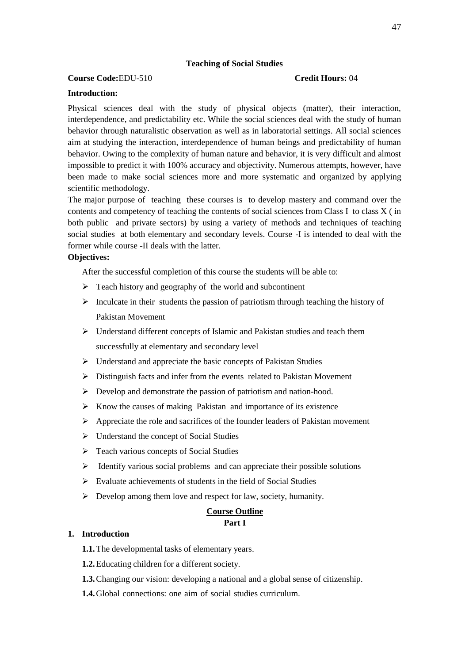## **Teaching of Social Studies**

# **Course Code:**EDU-510 **Credit Hours:** 04

#### **Introduction:**

Physical sciences deal with the study of physical objects (matter), their interaction, interdependence, and predictability etc. While the social sciences deal with the study of human behavior through naturalistic observation as well as in laboratorial settings. All social sciences aim at studying the interaction, interdependence of human beings and predictability of human behavior. Owing to the complexity of human nature and behavior, it is very difficult and almost impossible to predict it with 100% accuracy and objectivity. Numerous attempts, however, have been made to make social sciences more and more systematic and organized by applying scientific methodology.

The major purpose of teaching these courses is to develop mastery and command over the contents and competency of teaching the contents of social sciences from Class I to class X ( in both public and private sectors) by using a variety of methods and techniques of teaching social studies at both elementary and secondary levels. Course -I is intended to deal with the former while course -II deals with the latter.

## **Objectives:**

After the successful completion of this course the students will be able to:

- $\triangleright$  Teach history and geography of the world and subcontinent
- $\triangleright$  Inculcate in their students the passion of patriotism through teaching the history of Pakistan Movement
- Understand different concepts of Islamic and Pakistan studies and teach them successfully at elementary and secondary level
- $\triangleright$  Understand and appreciate the basic concepts of Pakistan Studies
- $\triangleright$  Distinguish facts and infer from the events related to Pakistan Movement
- Develop and demonstrate the passion of patriotism and nation-hood.
- $\triangleright$  Know the causes of making Pakistan and importance of its existence
- $\triangleright$  Appreciate the role and sacrifices of the founder leaders of Pakistan movement
- $\triangleright$  Understand the concept of Social Studies
- Teach various concepts of Social Studies
- $\triangleright$  Identify various social problems and can appreciate their possible solutions
- $\triangleright$  Evaluate achievements of students in the field of Social Studies
- $\triangleright$  Develop among them love and respect for law, society, humanity.

#### **Course Outline Part I**

#### **1. Introduction**

- **1.1.**The developmental tasks of elementary years.
- **1.2.**Educating children for a different society.
- **1.3.**Changing our vision: developing a national and a global sense of citizenship.
- **1.4.**Global connections: one aim of social studies curriculum.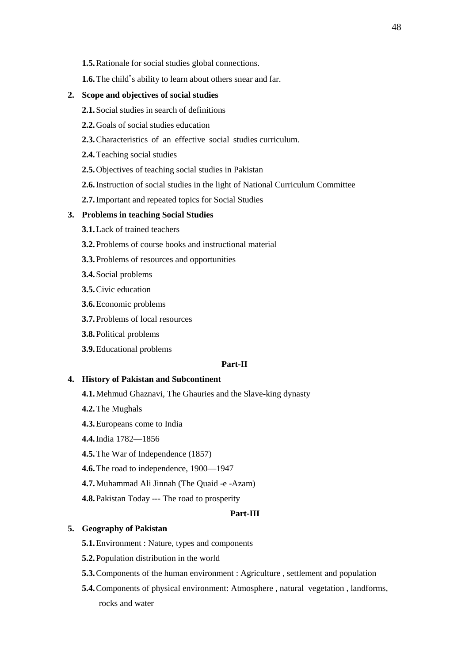- **1.5.**Rationale for social studies global connections.
- **1.6.** The child<sup>"</sup>s ability to learn about others snear and far.

#### **2. Scope and objectives of social studies**

- **2.1.**Social studies in search of definitions
- **2.2.**Goals of social studies education
- **2.3.**Characteristics of an effective social studies curriculum.
- **2.4.**Teaching social studies
- **2.5.**Objectives of teaching social studies in Pakistan
- **2.6.**Instruction of social studies in the light of National Curriculum Committee
- **2.7.**Important and repeated topics for Social Studies

## **3. Problems in teaching Social Studies**

- **3.1.**Lack of trained teachers
- **3.2.**Problems of course books and instructional material
- **3.3.**Problems of resources and opportunities
- **3.4.**Social problems
- **3.5.**Civic education
- **3.6.**Economic problems
- **3.7.**Problems of local resources
- **3.8.**Political problems
- **3.9.**Educational problems

#### **Part-II**

#### **4. History of Pakistan and Subcontinent**

- **4.1.**Mehmud Ghaznavi, The Ghauries and the Slave-king dynasty
- **4.2.**The Mughals
- **4.3.**Europeans come to India
- **4.4.**India 1782—1856
- **4.5.**The War of Independence (1857)
- **4.6.**The road to independence, 1900—1947
- **4.7.**Muhammad Ali Jinnah (The Quaid -e -Azam)
- **4.8.**Pakistan Today --- The road to prosperity

# **Part-III**

#### **5. Geography of Pakistan**

- **5.1.**Environment : Nature, types and components
- **5.2.**Population distribution in the world
- **5.3.**Components of the human environment : Agriculture , settlement and population
- **5.4.**Components of physical environment: Atmosphere , natural vegetation , landforms, rocks and water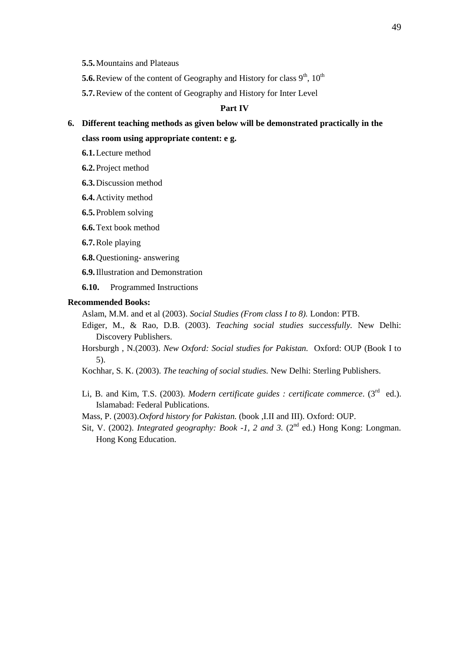- **5.5.**Mountains and Plateaus
- **5.6.** Review of the content of Geography and History for class  $9<sup>th</sup>$ ,  $10<sup>th</sup>$
- **5.7.**Review of the content of Geography and History for Inter Level

# **Part IV**

- **6. Different teaching methods as given below will be demonstrated practically in the class room using appropriate content: e g.**
	- **6.1.**Lecture method
	- **6.2.**Project method
	- **6.3.**Discussion method
	- **6.4.**Activity method
	- **6.5.**Problem solving
	- **6.6.**Text book method
	- **6.7.**Role playing
	- **6.8.**Questioning- answering
	- **6.9.**Illustration and Demonstration
	- **6.10.** Programmed Instructions

#### **Recommended Books:**

- Aslam, M.M. and et al (2003). *Social Studies (From class I to 8).* London: PTB.
- Ediger, M., & Rao, D.B. (2003). *Teaching social studies successfully.* New Delhi: Discovery Publishers.
- Horsburgh , N.(2003). *New Oxford: Social studies for Pakistan.* Oxford: OUP (Book I to 5).
- Kochhar, S. K. (2003). *The teaching of social studies.* New Delhi: Sterling Publishers.
- Li, B. and Kim, T.S. (2003). *Modern certificate guides : certificate commerce*. (3<sup>rd</sup> ed.). Islamabad: Federal Publications.
- Mass, P. (2003).*Oxford history for Pakistan.* (book ,I.II and III). Oxford: OUP.
- Sit, V. (2002). *Integrated geography: Book -1, 2 and 3.* (2<sup>nd</sup> ed.) Hong Kong: Longman. Hong Kong Education.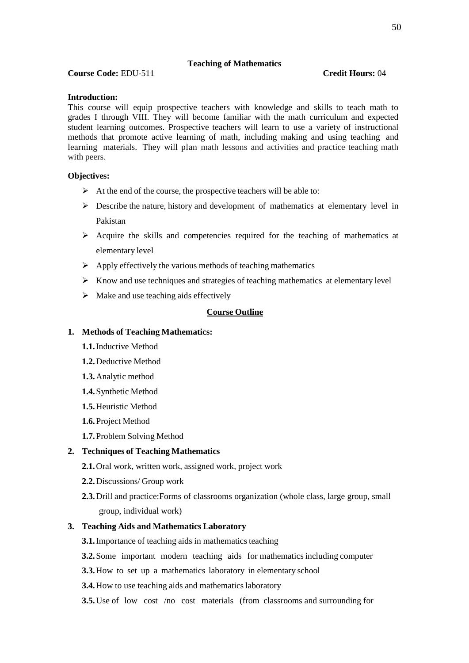## **Teaching of Mathematics**

**Course Code:** EDU-511 **Credit Hours:** 04

#### **Introduction:**

This course will equip prospective teachers with knowledge and skills to teach math to grades I through VIII. They will become familiar with the math curriculum and expected student learning outcomes. Prospective teachers will learn to use a variety of instructional methods that promote active learning of math, including making and using teaching and learning materials. They will plan math lessons and activities and practice teaching math with peers.

#### **Objectives:**

- $\triangleright$  At the end of the course, the prospective teachers will be able to:
- $\triangleright$  Describe the nature, history and development of mathematics at elementary level in Pakistan
- $\triangleright$  Acquire the skills and competencies required for the teaching of mathematics at elementary level
- $\triangleright$  Apply effectively the various methods of teaching mathematics
- $\triangleright$  Know and use techniques and strategies of teaching mathematics at elementary level
- $\triangleright$  Make and use teaching aids effectively

## **Course Outline**

#### **1. Methods of Teaching Mathematics:**

- **1.1.**Inductive Method
- **1.2.**Deductive Method
- **1.3.**Analytic method
- **1.4.**Synthetic Method
- **1.5.**Heuristic Method
- **1.6.**Project Method
- **1.7.**Problem Solving Method

#### **2. Techniques of Teaching Mathematics**

- **2.1.**Oral work, written work, assigned work, project work
- **2.2.**Discussions/ Group work
- **2.3.**Drill and practice:Forms of classrooms organization (whole class, large group, small group, individual work)

#### **3. Teaching Aids and Mathematics Laboratory**

- **3.1.**Importance of teaching aids in mathematics teaching
- **3.2.** Some important modern teaching aids for mathematics including computer
- **3.3.**How to set up a mathematics laboratory in elementary school
- **3.4.**How to use teaching aids and mathematics laboratory
- **3.5.** Use of low cost /no cost materials (from classrooms and surrounding for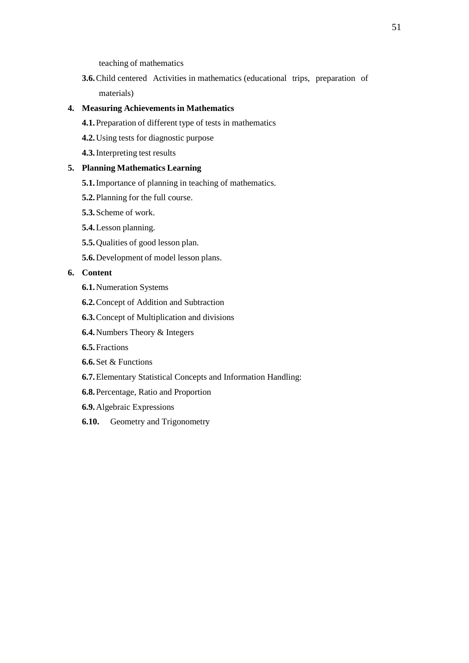teaching of mathematics

**3.6.**Child centered Activities in mathematics (educational trips, preparation of materials)

## **4. Measuring Achievementsin Mathematics**

- **4.1.**Preparation of different type of tests in mathematics
- **4.2.**Using tests for diagnostic purpose
- **4.3.**Interpreting test results

# **5. Planning Mathematics Learning**

- **5.1.**Importance of planning in teaching of mathematics.
- **5.2.**Planning for the full course.
- **5.3.**Scheme of work.
- **5.4.**Lesson planning.
- **5.5.**Qualities of good lesson plan.
- **5.6.**Development of model lesson plans.

# **6. Content**

- **6.1.**Numeration Systems
- **6.2.**Concept of Addition and Subtraction
- **6.3.**Concept of Multiplication and divisions
- **6.4.**Numbers Theory & Integers
- **6.5.**Fractions
- **6.6.**Set & Functions
- **6.7.**Elementary Statistical Concepts and Information Handling:
- **6.8.**Percentage, Ratio and Proportion
- **6.9.**Algebraic Expressions
- **6.10.** Geometry and Trigonometry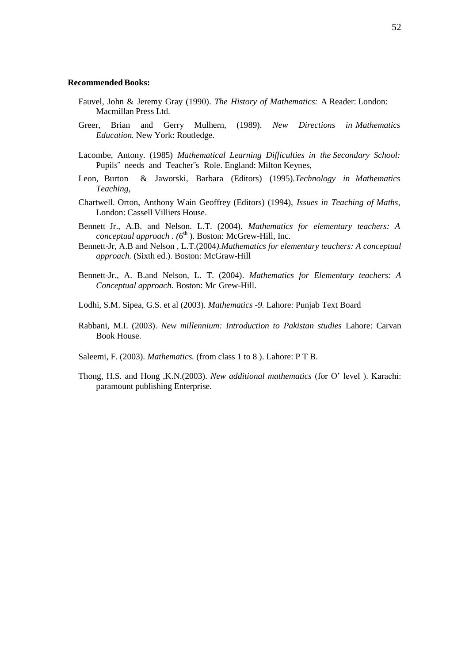#### **Recommended Books:**

- Fauvel, John & Jeremy Gray (1990). *The History of Mathematics:* A Reader: London: Macmillan Press Ltd.
- Greer, Brian and Gerry Mulhern, (1989). *New Directions in Mathematics Education.* New York: Routledge.
- Lacombe, Antony. (1985) *Mathematical Learning Difficulties in the Secondary School:*  Pupils" needs and Teacher"s Role. England: Milton Keynes,
- Leon, Burton & Jaworski, Barbara (Editors) (1995).*Technology in Mathematics Teaching,*
- Chartwell. Orton, Anthony Wain Geoffrey (Editors) (1994), *Issues in Teaching of Maths,* London: Cassell Villiers House.
- Bennett–Jr., A.B. and Nelson. L.T. (2004). *Mathematics for elementary teachers: A conceptual approach . (6<sup>th</sup>).* Boston: McGrew-Hill, Inc.
- Bennett-Jr, A.B and Nelson , L.T.(2004*).Mathematics for elementary teachers: A conceptual approach.* (Sixth ed.). Boston: McGraw-Hill
- Bennett-Jr., A. B.and Nelson, L. T. (2004). *Mathematics for Elementary teachers: A Conceptual approach.* Boston: Mc Grew-Hill.
- Lodhi, S.M. Sipea, G.S. et al (2003). *Mathematics -9.* Lahore: Punjab Text Board
- Rabbani, M.I. (2003). *New millennium: Introduction to Pakistan studies* Lahore: Carvan Book House.
- Saleemi, F. (2003). *Mathematics.* (from class 1 to 8 ). Lahore: P T B.
- Thong, H.S. and Hong ,K.N.(2003). *New additional mathematics* (for O' level ). Karachi: paramount publishing Enterprise.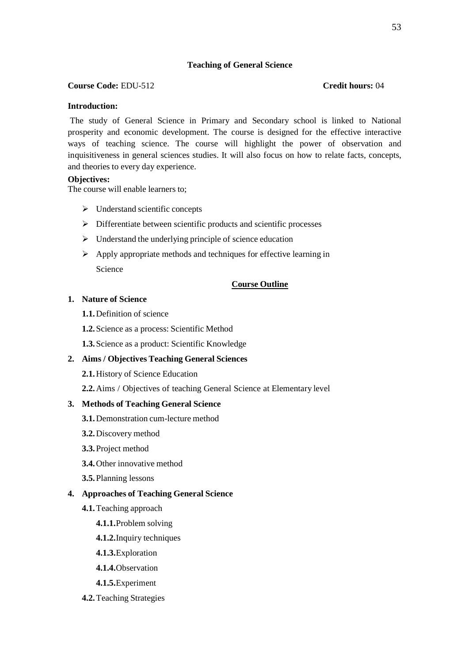# **Teaching of General Science**

## **Course Code:** EDU-512 **Credit hours:** 04

# **Introduction:**

The study of General Science in Primary and Secondary school is linked to National prosperity and economic development. The course is designed for the effective interactive ways of teaching science. The course will highlight the power of observation and inquisitiveness in general sciences studies. It will also focus on how to relate facts, concepts, and theories to every day experience.

## **Objectives:**

The course will enable learners to;

- $\triangleright$  Understand scientific concepts
- Differentiate between scientific products and scientific processes
- $\triangleright$  Understand the underlying principle of science education
- $\triangleright$  Apply appropriate methods and techniques for effective learning in Science

# **Course Outline**

## **1. Nature of Science**

- **1.1.**Definition of science
- **1.2.**Science as a process: Scientific Method
- **1.3.**Science as a product: Scientific Knowledge

## **2. Aims / Objectives Teaching General Sciences**

- **2.1.**History of Science Education
- **2.2.**Aims / Objectives of teaching General Science at Elementary level

## **3. Methods of Teaching General Science**

- **3.1.**Demonstration cum-lecture method
- **3.2.**Discovery method
- **3.3.**Project method
- **3.4.**Other innovative method
- **3.5.**Planning lessons

## **4. Approaches of Teaching General Science**

- **4.1.**Teaching approach
	- **4.1.1.**Problem solving
	- **4.1.2.**Inquiry techniques
	- **4.1.3.**Exploration
	- **4.1.4.**Observation
	- **4.1.5.**Experiment
- **4.2.**Teaching Strategies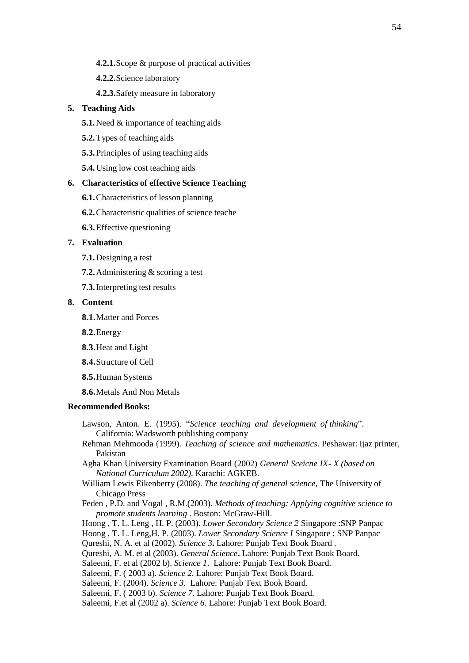- **4.2.1.**Scope & purpose of practical activities
- **4.2.2.**Science laboratory
- **4.2.3.**Safety measure in laboratory

# **5. Teaching Aids**

- **5.1.**Need & importance of teaching aids
- **5.2.**Types of teaching aids
- **5.3.**Principles of using teaching aids
- **5.4.**Using low cost teaching aids

#### **6. Characteristics of effective Science Teaching**

- **6.1.**Characteristics of lesson planning
- **6.2.**Characteristic qualities of science teache
- **6.3.**Effective questioning

#### **7. Evaluation**

- **7.1.**Designing a test
- **7.2.**Administering & scoring a test
- **7.3.**Interpreting test results

# **8. Content**

- **8.1.**Matter and Forces
- **8.2.**Energy
- **8.3.**Heat and Light
- **8.4.**Structure of Cell
- **8.5.**Human Systems
- **8.6.**Metals And Non Metals

#### **Recommended Books:**

- Lawson, Anton. E. (1995). "*Science teaching and development of thinking*". California: Wadsworth publishing company
- Rehman Mehmooda (1999). *Teaching of science and mathematics*. Peshawar: Ijaz printer, Pakistan

Agha Khan University Examination Board (2002) *General Sceicne IX- X (based on National Curriculum 2002).* Karachi: AGKEB.

- William Lewis Eikenberry (2008). *The teaching of general science,* The University of Chicago Press
- Feden , P.D. and Vogal , R.M.(2003). *Methods of teaching: Applying cognitive science to promote students learning* . Boston: McGraw-Hill.
- Hoong , T. L. Leng , H. P. (2003). *Lower Secondary Science 2* Singapore :SNP Panpac
- Hoong , T. L. Leng,H. P. (2003). *Lower Secondary Science I* Singapore : SNP Panpac
- Qureshi, N. A. et al (2002). *Science 3***.** Lahore: Punjab Text Book Board .
- Qureshi, A. M. et al (2003). *General Science***.** Lahore: Punjab Text Book Board.
- Saleemi, F. et al (2002 b). *Science 1*. Lahore: Punjab Text Book Board.
- Saleemi, F. ( 2003 a). *Science 2.* Lahore: Punjab Text Book Board.
- Saleemi, F. (2004). *Science 3.*Lahore: Punjab Text Book Board.
- Saleemi, F. ( 2003 b). *Science 7.* Lahore: Punjab Text Book Board.
- Saleemi, F.et al (2002 a). *Science 6.* Lahore: Punjab Text Book Board.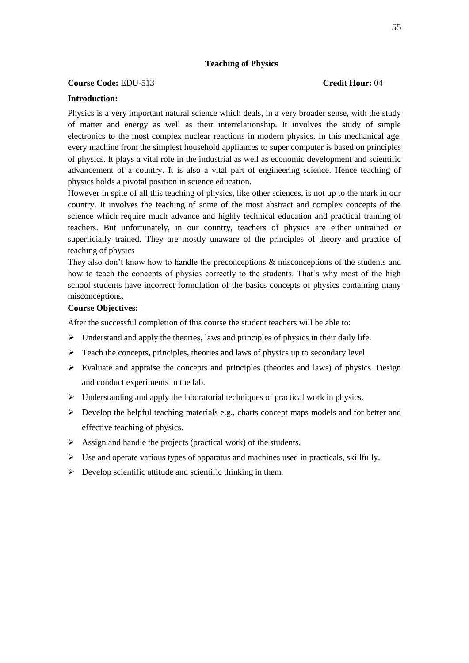#### **Teaching of Physics**

#### **Course Code:** EDU-513 **Credit Hour:** 04

#### **Introduction:**

Physics is a very important natural science which deals, in a very broader sense, with the study of matter and energy as well as their interrelationship. It involves the study of simple electronics to the most complex nuclear reactions in modern physics. In this mechanical age, every machine from the simplest household appliances to super computer is based on principles of physics. It plays a vital role in the industrial as well as economic development and scientific advancement of a country. It is also a vital part of engineering science. Hence teaching of physics holds a pivotal position in science education.

However in spite of all this teaching of physics, like other sciences, is not up to the mark in our country. It involves the teaching of some of the most abstract and complex concepts of the science which require much advance and highly technical education and practical training of teachers. But unfortunately, in our country, teachers of physics are either untrained or superficially trained. They are mostly unaware of the principles of theory and practice of teaching of physics

They also don't know how to handle the preconceptions  $\&$  misconceptions of the students and how to teach the concepts of physics correctly to the students. That's why most of the high school students have incorrect formulation of the basics concepts of physics containing many misconceptions.

# **Course Objectives:**

After the successful completion of this course the student teachers will be able to:

- $\triangleright$  Understand and apply the theories, laws and principles of physics in their daily life.
- $\triangleright$  Teach the concepts, principles, theories and laws of physics up to secondary level.
- $\triangleright$  Evaluate and appraise the concepts and principles (theories and laws) of physics. Design and conduct experiments in the lab.
- $\triangleright$  Understanding and apply the laboratorial techniques of practical work in physics.
- $\triangleright$  Develop the helpful teaching materials e.g., charts concept maps models and for better and effective teaching of physics.
- $\triangleright$  Assign and handle the projects (practical work) of the students.
- $\triangleright$  Use and operate various types of apparatus and machines used in practicals, skillfully.
- $\triangleright$  Develop scientific attitude and scientific thinking in them.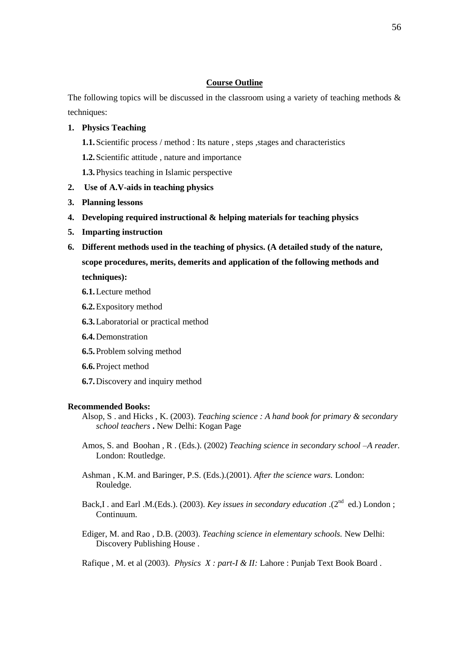## **Course Outline**

The following topics will be discussed in the classroom using a variety of teaching methods  $\&$ techniques:

#### **1. Physics Teaching**

- **1.1.**Scientific process / method : Its nature , steps ,stages and characteristics
- **1.2.**Scientific attitude , nature and importance
- **1.3.**Physics teaching in Islamic perspective
- **2. Use of A.V-aids in teaching physics**
- **3. Planning lessons**
- **4. Developing required instructional & helping materials for teaching physics**
- **5. Imparting instruction**
- **6. Different methods used in the teaching of physics. (A detailed study of the nature, scope procedures, merits, demerits and application of the following methods and techniques):**
	- **6.1.**Lecture method
	- **6.2.**Expository method
	- **6.3.**Laboratorial or practical method
	- **6.4.**Demonstration
	- **6.5.**Problem solving method
	- **6.6.**Project method
	- **6.7.**Discovery and inquiry method

#### **Recommended Books:**

- Alsop, S . and Hicks , K. (2003). *Teaching science : A hand book for primary & secondary school teachers* **.** New Delhi: Kogan Page
- Amos, S. and Boohan , R . (Eds.). (2002) *Teaching science in secondary school –A reader.* London: Routledge.
- Ashman , K.M. and Baringer, P.S. (Eds.).(2001). *After the science wars.* London: Rouledge.
- Back,I . and Earl .M.(Eds.). (2003). *Key issues in secondary education* .(2<sup>nd</sup> ed.) London; Continuum.
- Ediger, M. and Rao , D.B. (2003). *Teaching science in elementary schools.* New Delhi: Discovery Publishing House .

Rafique , M. et al (2003). *Physics X : part-I & II:* Lahore : Punjab Text Book Board .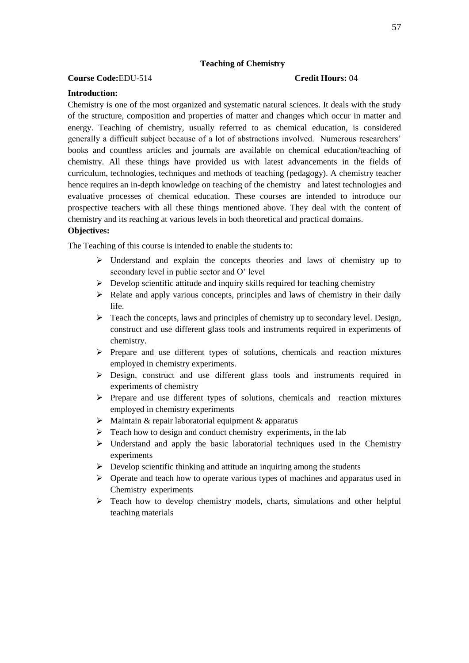## **Teaching of Chemistry**

## **Course Code:**EDU-514 **Credit Hours:** 04

#### **Introduction:**

Chemistry is one of the most organized and systematic natural sciences. It deals with the study of the structure, composition and properties of matter and changes which occur in matter and energy. Teaching of chemistry, usually referred to as chemical education, is considered generally a difficult subject because of a lot of abstractions involved. Numerous researchers' books and countless articles and journals are available on chemical education/teaching of chemistry. All these things have provided us with latest advancements in the fields of curriculum, technologies, techniques and methods of teaching (pedagogy). A chemistry teacher hence requires an in-depth knowledge on teaching of the chemistry and latest technologies and evaluative processes of chemical education. These courses are intended to introduce our prospective teachers with all these things mentioned above. They deal with the content of chemistry and its reaching at various levels in both theoretical and practical domains.

## **Objectives:**

The Teaching of this course is intended to enable the students to:

- $\triangleright$  Understand and explain the concepts theories and laws of chemistry up to secondary level in public sector and O' level
- $\triangleright$  Develop scientific attitude and inquiry skills required for teaching chemistry
- $\triangleright$  Relate and apply various concepts, principles and laws of chemistry in their daily life.
- $\triangleright$  Teach the concepts, laws and principles of chemistry up to secondary level. Design, construct and use different glass tools and instruments required in experiments of chemistry.
- $\triangleright$  Prepare and use different types of solutions, chemicals and reaction mixtures employed in chemistry experiments.
- Design, construct and use different glass tools and instruments required in experiments of chemistry
- $\triangleright$  Prepare and use different types of solutions, chemicals and reaction mixtures employed in chemistry experiments
- $\triangleright$  Maintain & repair laboratorial equipment & apparatus
- $\triangleright$  Teach how to design and conduct chemistry experiments, in the lab
- $\triangleright$  Understand and apply the basic laboratorial techniques used in the Chemistry experiments
- $\triangleright$  Develop scientific thinking and attitude an inquiring among the students
- $\triangleright$  Operate and teach how to operate various types of machines and apparatus used in Chemistry experiments
- $\triangleright$  Teach how to develop chemistry models, charts, simulations and other helpful teaching materials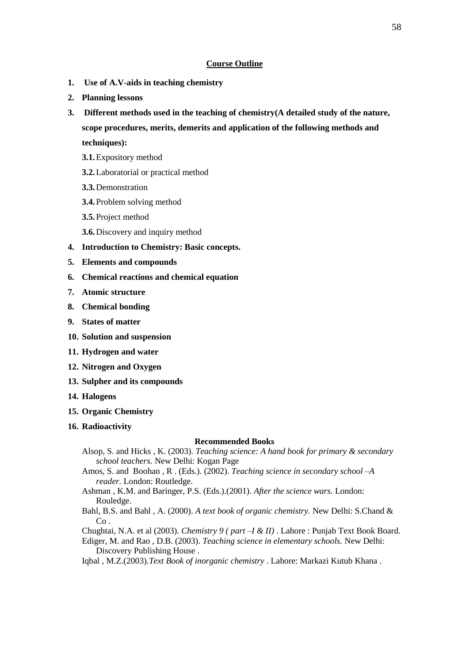#### **Course Outline**

- **1. Use of A.V-aids in teaching chemistry**
- **2. Planning lessons**
- **3. Different methods used in the teaching of chemistry(A detailed study of the nature, scope procedures, merits, demerits and application of the following methods and techniques):**
	- **3.1.**Expository method
	- **3.2.**Laboratorial or practical method
	- **3.3.**Demonstration
	- **3.4.**Problem solving method
	- **3.5.**Project method
	- **3.6.**Discovery and inquiry method
- **4. Introduction to Chemistry: Basic concepts.**
- **5. Elements and compounds**
- **6. Chemical reactions and chemical equation**
- **7. Atomic structure**
- **8. Chemical bonding**
- **9. States of matter**
- **10. Solution and suspension**
- **11. Hydrogen and water**
- **12. Nitrogen and Oxygen**
- **13. Sulpher and its compounds**
- **14. Halogens**
- **15. Organic Chemistry**
- **16. Radioactivity**

#### **Recommended Books**

- Alsop, S. and Hicks , K. (2003). *Teaching science: A hand book for primary & secondary school teachers.* New Delhi: Kogan Page
- Amos, S. and Boohan , R . (Eds.). (2002). *Teaching science in secondary school –A reader.* London: Routledge.
- Ashman , K.M. and Baringer, P.S. (Eds.).(2001). *After the science wars.* London: Rouledge.
- Bahl, B.S. and Bahl , A. (2000). *A text book of organic chemistry.* New Delhi: S.Chand & Co .
- Chughtai, N.A. et al (2003). *Chemistry 9 ( part –I & II)* . Lahore : Punjab Text Book Board.
- Ediger, M. and Rao , D.B. (2003). *Teaching science in elementary schools.* New Delhi: Discovery Publishing House .
- Iqbal , M.Z.(2003).*Text Book of inorganic chemistry* . Lahore: Markazi Kutub Khana .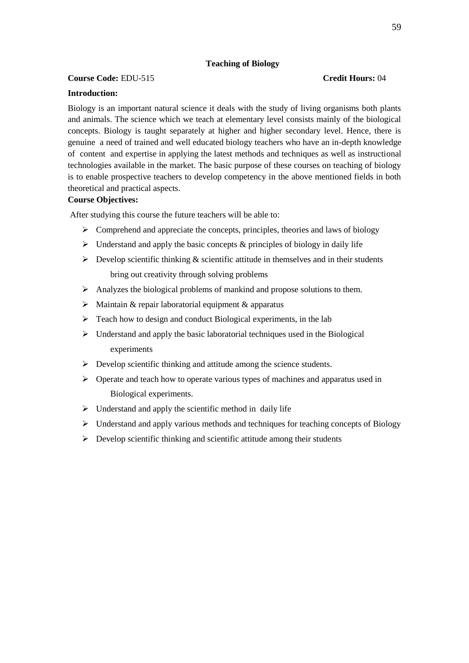# **Teaching of Biology**

## **Course Code:** EDU-515 **Credit Hours:** 04

# **Introduction:**

# Biology is an important natural science it deals with the study of living organisms both plants and animals. The science which we teach at elementary level consists mainly of the biological concepts. Biology is taught separately at higher and higher secondary level. Hence, there is genuine a need of trained and well educated biology teachers who have an in-depth knowledge of content and expertise in applying the latest methods and techniques as well as instructional technologies available in the market. The basic purpose of these courses on teaching of biology is to enable prospective teachers to develop competency in the above mentioned fields in both theoretical and practical aspects.

# **Course Objectives:**

After studying this course the future teachers will be able to:

- $\triangleright$  Comprehend and appreciate the concepts, principles, theories and laws of biology
- $\triangleright$  Understand and apply the basic concepts & principles of biology in daily life
- $\triangleright$  Develop scientific thinking & scientific attitude in themselves and in their students bring out creativity through solving problems
- $\triangleright$  Analyzes the biological problems of mankind and propose solutions to them.
- $\triangleright$  Maintain & repair laboratorial equipment & apparatus
- $\triangleright$  Teach how to design and conduct Biological experiments, in the lab
- $\triangleright$  Understand and apply the basic laboratorial techniques used in the Biological experiments
- $\triangleright$  Develop scientific thinking and attitude among the science students.
- $\triangleright$  Operate and teach how to operate various types of machines and apparatus used in Biological experiments.
- $\triangleright$  Understand and apply the scientific method in daily life
- $\triangleright$  Understand and apply various methods and techniques for teaching concepts of Biology
- $\triangleright$  Develop scientific thinking and scientific attitude among their students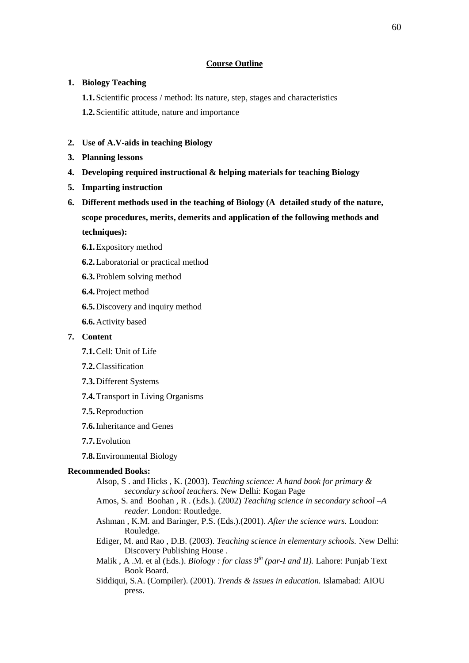## **Course Outline**

## **1. Biology Teaching**

**1.1.**Scientific process / method: Its nature, step, stages and characteristics

**1.2.**Scientific attitude, nature and importance

- **2. Use of A.V-aids in teaching Biology**
- **3. Planning lessons**
- **4. Developing required instructional & helping materials for teaching Biology**
- **5. Imparting instruction**
- **6. Different methods used in the teaching of Biology (A detailed study of the nature, scope procedures, merits, demerits and application of the following methods and techniques):**

- **6.1.**Expository method
- **6.2.**Laboratorial or practical method
- **6.3.**Problem solving method
- **6.4.**Project method
- **6.5.**Discovery and inquiry method
- **6.6.**Activity based
- **7. Content**
	- **7.1.**Cell: Unit of Life
	- **7.2.**Classification
	- **7.3.**Different Systems
	- **7.4.**Transport in Living Organisms
	- **7.5.**Reproduction
	- **7.6.**Inheritance and Genes
	- **7.7.**Evolution
	- **7.8.**Environmental Biology

## **Recommended Books:**

- Alsop, S . and Hicks , K. (2003). *Teaching science: A hand book for primary & secondary school teachers.* New Delhi: Kogan Page
- Amos, S. and Boohan , R . (Eds.). (2002) *Teaching science in secondary school –A reader.* London: Routledge.
- Ashman , K.M. and Baringer, P.S. (Eds.).(2001). *After the science wars.* London: Rouledge.
- Ediger, M. and Rao , D.B. (2003). *Teaching science in elementary schools.* New Delhi: Discovery Publishing House .
- Malik , A .M. et al (Eds.). *Biology : for class 9th (par-I and II).* Lahore: Punjab Text Book Board.
- Siddiqui, S.A. (Compiler). (2001). *Trends & issues in education.* Islamabad: AIOU press.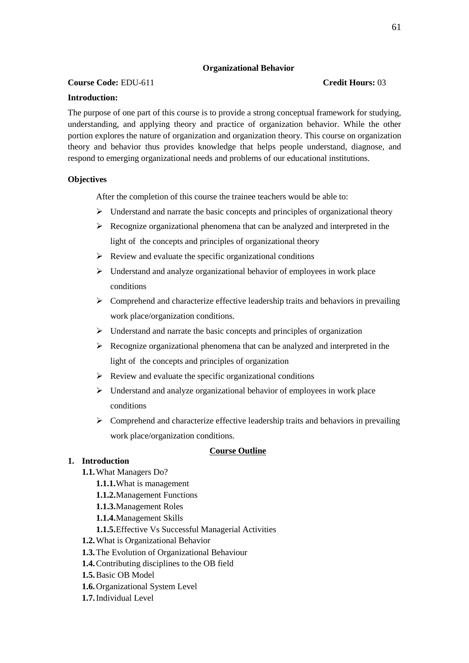# **Organizational Behavior**

# **Course Code:** EDU-611 **Credit Hours:** 03

# **Introduction:**

The purpose of one part of this course is to provide a strong conceptual framework for studying, understanding, and applying theory and practice of organization behavior. While the other portion explores the nature of organization and organization theory. This course on organization theory and behavior thus provides knowledge that helps people understand, diagnose, and respond to emerging organizational needs and problems of our educational institutions.

# **Objectives**

After the completion of this course the trainee teachers would be able to:

- $\triangleright$  Understand and narrate the basic concepts and principles of organizational theory
- $\triangleright$  Recognize organizational phenomena that can be analyzed and interpreted in the light of the concepts and principles of organizational theory
- $\triangleright$  Review and evaluate the specific organizational conditions
- $\triangleright$  Understand and analyze organizational behavior of employees in work place conditions
- $\triangleright$  Comprehend and characterize effective leadership traits and behaviors in prevailing work place/organization conditions.
- $\triangleright$  Understand and narrate the basic concepts and principles of organization
- $\triangleright$  Recognize organizational phenomena that can be analyzed and interpreted in the light of the concepts and principles of organization
- $\triangleright$  Review and evaluate the specific organizational conditions
- $\triangleright$  Understand and analyze organizational behavior of employees in work place conditions
- $\triangleright$  Comprehend and characterize effective leadership traits and behaviors in prevailing work place/organization conditions.

## **Course Outline**

# **1. Introduction**

- **1.1.**What Managers Do?
	- **1.1.1.**What is management
	- **1.1.2.**Management Functions
	- **1.1.3.**Management Roles
	- **1.1.4.**Management Skills
	- **1.1.5.**Effective Vs Successful Managerial Activities
- **1.2.**What is Organizational Behavior
- **1.3.**The Evolution of Organizational Behaviour
- **1.4.**Contributing disciplines to the OB field
- **1.5.**Basic OB Model
- **1.6.**Organizational System Level
- **1.7.**Individual Level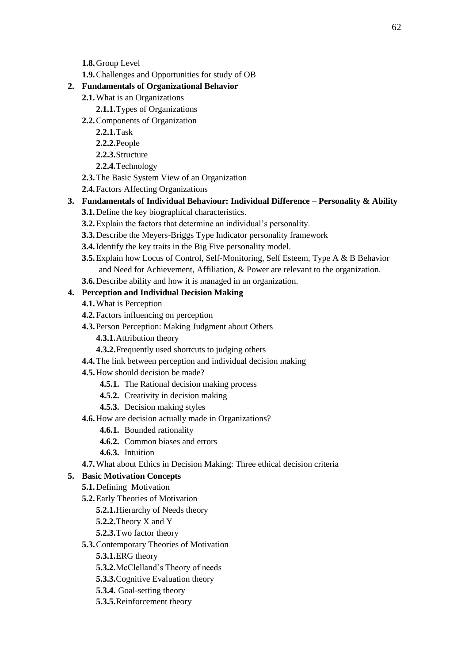- **1.8.**Group Level
- **1.9.**Challenges and Opportunities for study of OB

# **2. Fundamentals of Organizational Behavior**

- **2.1.**What is an Organizations
	- **2.1.1.**Types of Organizations
- **2.2.**Components of Organization
	- **2.2.1.**Task
	- **2.2.2.**People
	- **2.2.3.**Structure
	- **2.2.4.**Technology
- **2.3.**The Basic System View of an Organization
- **2.4.**Factors Affecting Organizations
- **3. Fundamentals of Individual Behaviour: Individual Difference – Personality & Ability**
	- **3.1.**Define the key biographical characteristics.
	- **3.2.**Explain the factors that determine an individual's personality.
	- **3.3.**Describe the Meyers-Briggs Type Indicator personality framework
	- **3.4.**Identify the key traits in the Big Five personality model.
	- **3.5.**Explain how Locus of Control, Self-Monitoring, Self Esteem, Type A & B Behavior and Need for Achievement, Affiliation, & Power are relevant to the organization.
	- **3.6.**Describe ability and how it is managed in an organization.

# **4. Perception and Individual Decision Making**

- **4.1.**What is Perception
- **4.2.**Factors influencing on perception
- **4.3.**Person Perception: Making Judgment about Others
	- **4.3.1.**Attribution theory
	- **4.3.2.**Frequently used shortcuts to judging others
- **4.4.**The link between perception and individual decision making
- **4.5.**How should decision be made?
	- **4.5.1.** The Rational decision making process
	- **4.5.2.** Creativity in decision making
	- **4.5.3.** Decision making styles
- **4.6.**How are decision actually made in Organizations?
	- **4.6.1.** Bounded rationality
	- **4.6.2.** Common biases and errors
	- **4.6.3.** Intuition
- **4.7.**What about Ethics in Decision Making: Three ethical decision criteria

# **5. Basic Motivation Concepts**

- **5.1.**Defining Motivation
- **5.2.**Early Theories of Motivation
	- **5.2.1.**Hierarchy of Needs theory
	- **5.2.2.**Theory X and Y
	- **5.2.3.**Two factor theory
- **5.3.**Contemporary Theories of Motivation
	- **5.3.1.**ERG theory
	- **5.3.2.**McClelland's Theory of needs
	- **5.3.3.**Cognitive Evaluation theory
	- **5.3.4.** Goal-setting theory
	- **5.3.5.**Reinforcement theory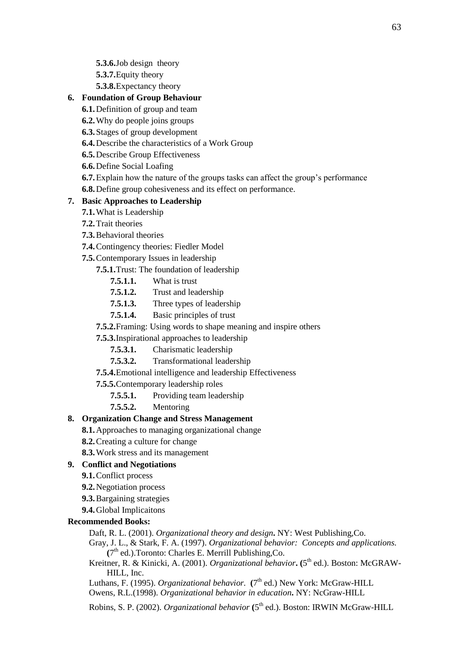**5.3.6.**Job design theory

**5.3.7.**Equity theory

**5.3.8.**Expectancy theory

## **6. Foundation of Group Behaviour**

- **6.1.**Definition of group and team
- **6.2.**Why do people joins groups
- **6.3.**Stages of group development
- **6.4.**Describe the characteristics of a Work Group
- **6.5.**Describe Group Effectiveness
- **6.6.**Define Social Loafing
- **6.7.**Explain how the nature of the groups tasks can affect the group's performance
- **6.8.**Define group cohesiveness and its effect on performance.

# **7. Basic Approaches to Leadership**

- **7.1.**What is Leadership
- **7.2.**Trait theories
- **7.3.**Behavioral theories
- **7.4.**Contingency theories: Fiedler Model
- **7.5.**Contemporary Issues in leadership
	- **7.5.1.**Trust: The foundation of leadership
		- **7.5.1.1.** What is trust
		- **7.5.1.2.** Trust and leadership
		- **7.5.1.3.** Three types of leadership
		- **7.5.1.4.** Basic principles of trust
	- **7.5.2.**Framing: Using words to shape meaning and inspire others
	- **7.5.3.**Inspirational approaches to leadership
		- **7.5.3.1.** Charismatic leadership
		- **7.5.3.2.** Transformational leadership
	- **7.5.4.**Emotional intelligence and leadership Effectiveness
	- **7.5.5.**Contemporary leadership roles
		- **7.5.5.1.** Providing team leadership
		- **7.5.5.2.** Mentoring

# **8. Organization Change and Stress Management**

- **8.1.**Approaches to managing organizational change
- **8.2.**Creating a culture for change
- **8.3.**Work stress and its management

# **9. Conflict and Negotiations**

- **9.1.**Conflict process
- **9.2.**Negotiation process
- **9.3.**Bargaining strategies
- **9.4.**Global Implicaitons

# **Recommended Books:**

Daft, R. L. (2001). *Organizational theory and design***.** NY: West Publishing,Co.

- Gray, J. L., & Stark, F. A. (1997). *Organizational behavior: Concepts and applications.* (7<sup>th</sup> ed.).Toronto: Charles E. Merrill Publishing, Co.
- Kreitner, R. & Kinicki, A. (2001). *Organizational behavior***.** (5<sup>th</sup> ed.). Boston: McGRAW-HILL, Inc.
- Luthans, F. (1995). *Organizational behavior.* (7<sup>th</sup> ed.) New York: McGraw-HILL
- Owens, R.L.(1998). *Organizational behavior in education***.** NY: NcGraw-HILL

Robins, S. P. (2002). *Organizational behavior* (5<sup>th</sup> ed.). Boston: IRWIN McGraw-HILL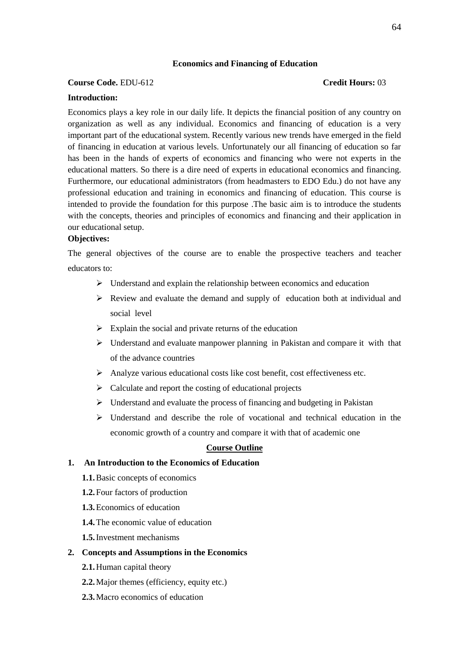### **Economics and Financing of Education**

#### **Course Code.** EDU-612 **Credit Hours:** 03

#### **Introduction:**

Economics plays a key role in our daily life. It depicts the financial position of any country on organization as well as any individual. Economics and financing of education is a very important part of the educational system. Recently various new trends have emerged in the field of financing in education at various levels. Unfortunately our all financing of education so far has been in the hands of experts of economics and financing who were not experts in the educational matters. So there is a dire need of experts in educational economics and financing. Furthermore, our educational administrators (from headmasters to EDO Edu.) do not have any professional education and training in economics and financing of education. This course is intended to provide the foundation for this purpose .The basic aim is to introduce the students with the concepts, theories and principles of economics and financing and their application in our educational setup.

## **Objectives:**

The general objectives of the course are to enable the prospective teachers and teacher educators to:

- $\triangleright$  Understand and explain the relationship between economics and education
- $\triangleright$  Review and evaluate the demand and supply of education both at individual and social level
- $\triangleright$  Explain the social and private returns of the education
- Understand and evaluate manpower planning in Pakistan and compare it with that of the advance countries
- $\triangleright$  Analyze various educational costs like cost benefit, cost effectiveness etc.
- $\triangleright$  Calculate and report the costing of educational projects
- Understand and evaluate the process of financing and budgeting in Pakistan
- Understand and describe the role of vocational and technical education in the economic growth of a country and compare it with that of academic one

#### **Course Outline**

### **1. An Introduction to the Economics of Education**

- **1.1.**Basic concepts of economics
- **1.2.**Four factors of production
- **1.3.**Economics of education
- **1.4.**The economic value of education
- **1.5.**Investment mechanisms

#### **2. Concepts and Assumptions in the Economics**

- **2.1.**Human capital theory
- **2.2.**Major themes (efficiency, equity etc.)
- **2.3.**Macro economics of education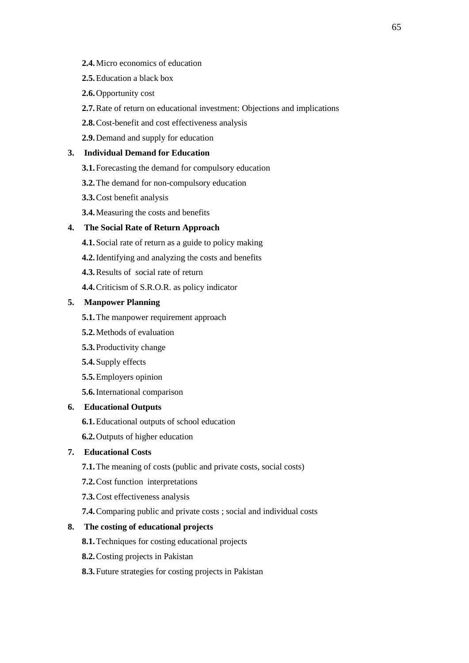- **2.4.**Micro economics of education
- **2.5.**Education a black box
- **2.6.**Opportunity cost
- **2.7.**Rate of return on educational investment: Objections and implications
- **2.8.**Cost-benefit and cost effectiveness analysis
- **2.9.**Demand and supply for education

## **3. Individual Demand for Education**

- **3.1.**Forecasting the demand for compulsory education
- **3.2.**The demand for non-compulsory education
- **3.3.**Cost benefit analysis
- **3.4.**Measuring the costs and benefits

## **4. The Social Rate of Return Approach**

- **4.1.**Social rate of return as a guide to policy making
- **4.2.**Identifying and analyzing the costs and benefits
- **4.3.**Results of social rate of return
- **4.4.**Criticism of S.R.O.R. as policy indicator

## **5. Manpower Planning**

- **5.1.**The manpower requirement approach
- **5.2.**Methods of evaluation
- **5.3.**Productivity change
- **5.4.**Supply effects
- **5.5.**Employers opinion
- **5.6.**International comparison

#### **6. Educational Outputs**

- **6.1.**Educational outputs of school education
- **6.2.**Outputs of higher education

## **7. Educational Costs**

- **7.1.**The meaning of costs (public and private costs, social costs)
- **7.2.**Cost function interpretations
- **7.3.**Cost effectiveness analysis
- **7.4.**Comparing public and private costs ; social and individual costs

## **8. The costing of educational projects**

- **8.1.**Techniques for costing educational projects
- **8.2.**Costing projects in Pakistan
- **8.3.**Future strategies for costing projects in Pakistan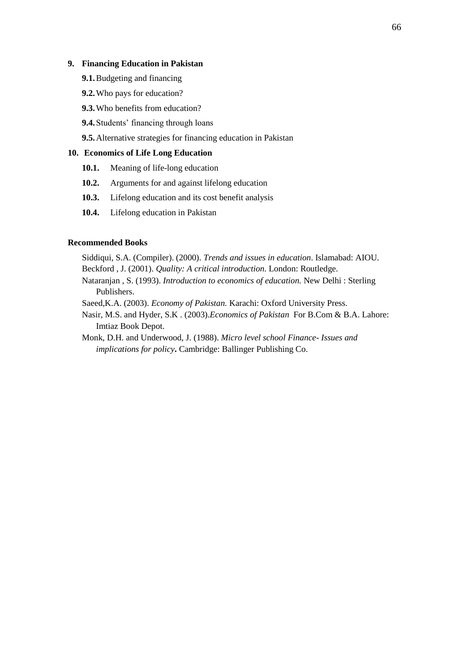## **9. Financing Education in Pakistan**

- **9.1.**Budgeting and financing
- **9.2.**Who pays for education?
- **9.3.**Who benefits from education?
- **9.4.**Students' financing through loans

**9.5.**Alternative strategies for financing education in Pakistan

## **10. Economics of Life Long Education**

- **10.1.** Meaning of life-long education
- **10.2.** Arguments for and against lifelong education
- **10.3.** Lifelong education and its cost benefit analysis
- **10.4.** Lifelong education in Pakistan

#### **Recommended Books**

- Siddiqui, S.A. (Compiler). (2000). *Trends and issues in education*. Islamabad: AIOU. Beckford , J. (2001). *Quality: A critical introduction.* London: Routledge.
- Nataranjan , S. (1993). *Introduction to economics of education.* New Delhi : Sterling Publishers.
- Saeed,K.A. (2003). *Economy of Pakistan.* Karachi: Oxford University Press.
- Nasir, M.S. and Hyder, S.K . (2003).*Economics of Pakistan* For B.Com & B.A. Lahore: Imtiaz Book Depot.
- Monk, D.H. and Underwood, J. (1988). *Micro level school Finance- Issues and implications for policy***.** Cambridge: Ballinger Publishing Co.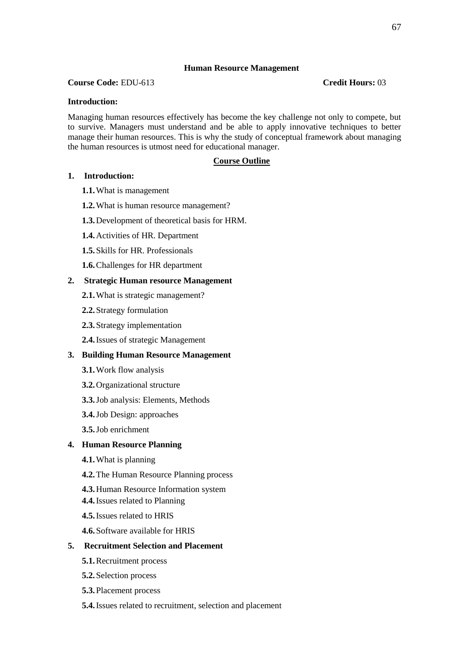### **Human Resource Management**

## **Course Code:** EDU-613 **Credit Hours:** 03

#### **Introduction:**

Managing human resources effectively has become the key challenge not only to compete, but to survive. Managers must understand and be able to apply innovative techniques to better manage their human resources. This is why the study of conceptual framework about managing the human resources is utmost need for educational manager.

## **Course Outline**

#### **1. Introduction:**

- **1.1.**What is management
- **1.2.**What is human resource management?
- **1.3.**Development of theoretical basis for HRM.
- **1.4.**Activities of HR. Department
- **1.5.**Skills for HR. Professionals
- **1.6.**Challenges for HR department

#### **2. Strategic Human resource Management**

- **2.1.**What is strategic management?
- **2.2.**Strategy formulation
- **2.3.**Strategy implementation
- **2.4.**Issues of strategic Management

#### **3. Building Human Resource Management**

- **3.1.**Work flow analysis
- **3.2.**Organizational structure
- **3.3.**Job analysis: Elements, Methods
- **3.4.**Job Design: approaches
- **3.5.**Job enrichment

## **4. Human Resource Planning**

- **4.1.**What is planning
- **4.2.**The Human Resource Planning process
- **4.3.**Human Resource Information system
- **4.4.**Issues related to Planning
- **4.5.**Issues related to HRIS
- **4.6.**Software available for HRIS

#### **5. Recruitment Selection and Placement**

- **5.1.**Recruitment process
- **5.2.**Selection process
- **5.3.**Placement process
- **5.4.**Issues related to recruitment, selection and placement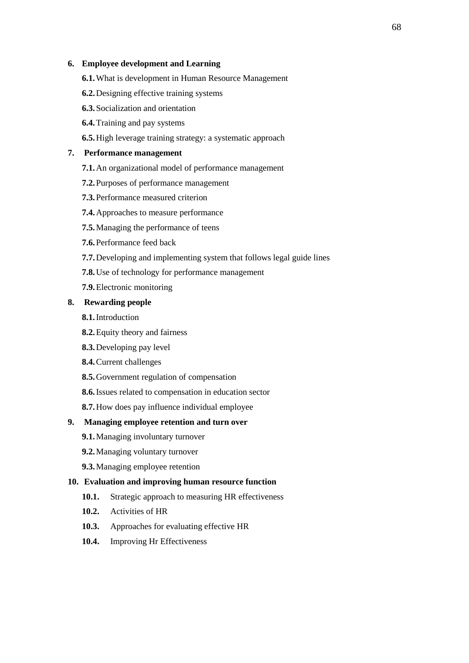#### **6. Employee development and Learning**

- **6.1.**What is development in Human Resource Management
- **6.2.**Designing effective training systems
- **6.3.**Socialization and orientation
- **6.4.**Training and pay systems

**6.5.**High leverage training strategy: a systematic approach

## **7. Performance management**

- **7.1.**An organizational model of performance management
- **7.2.**Purposes of performance management
- **7.3.**Performance measured criterion
- **7.4.**Approaches to measure performance
- **7.5.**Managing the performance of teens
- **7.6.**Performance feed back
- **7.7.**Developing and implementing system that follows legal guide lines
- **7.8.**Use of technology for performance management
- **7.9.**Electronic monitoring

#### **8. Rewarding people**

- **8.1.**Introduction
- **8.2.**Equity theory and fairness
- **8.3.**Developing pay level
- **8.4.**Current challenges
- **8.5.**Government regulation of compensation
- **8.6.**Issues related to compensation in education sector
- **8.7.**How does pay influence individual employee

#### **9. Managing employee retention and turn over**

- **9.1.**Managing involuntary turnover
- **9.2.**Managing voluntary turnover
- **9.3.**Managing employee retention

## **10. Evaluation and improving human resource function**

- 10.1. Strategic approach to measuring HR effectiveness
- **10.2.** Activities of HR
- **10.3.** Approaches for evaluating effective HR
- **10.4.** Improving Hr Effectiveness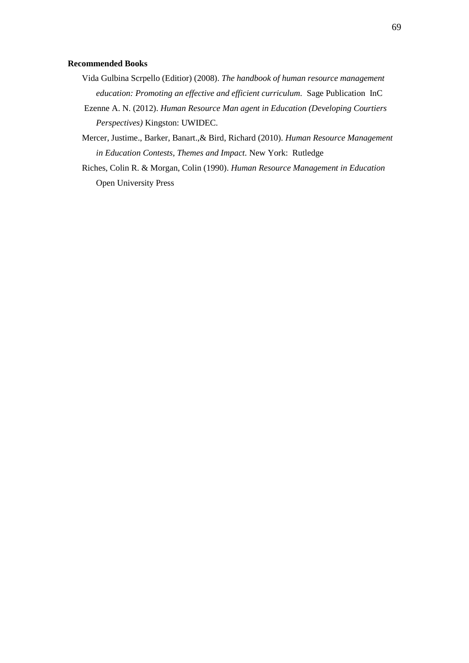#### **Recommended Books**

- Vida Gulbina Scrpello (Editior) (2008). *The handbook of human resource management education: Promoting an effective and efficient curriculum.* Sage Publication InC
- Ezenne A. N. (2012). *Human Resource Man agent in Education (Developing Courtiers Perspectives)* Kingston: UWIDEC.
- Mercer, Justime., Barker, Banart.,& Bird, Richard (2010). *Human Resource Management in Education Contests, Themes and Impact.* New York: Rutledge
- Riches, Colin R. & Morgan, Colin (1990). *Human Resource Management in Education* Open University Press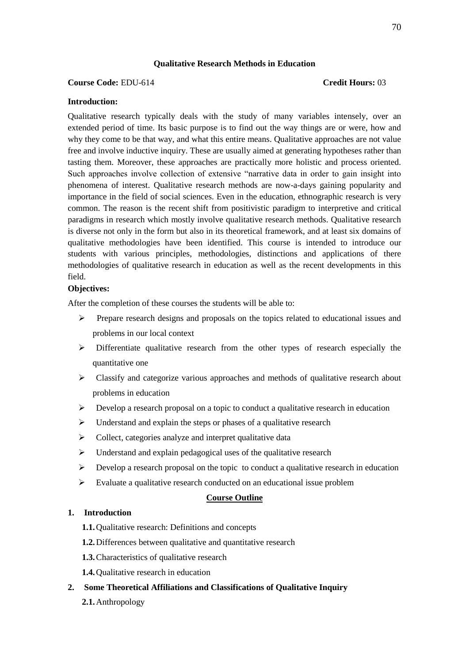## **Qualitative Research Methods in Education**

#### **Course Code:** EDU-614 **Credit Hours:** 03

#### **Introduction:**

Qualitative research typically deals with the study of many variables intensely, over an extended period of time. Its basic purpose is to find out the way things are or were, how and why they come to be that way, and what this entire means. Qualitative approaches are not value free and involve inductive inquiry. These are usually aimed at generating hypotheses rather than tasting them. Moreover, these approaches are practically more holistic and process oriented. Such approaches involve collection of extensive "narrative data in order to gain insight into phenomena of interest. Qualitative research methods are now-a-days gaining popularity and importance in the field of social sciences. Even in the education, ethnographic research is very common. The reason is the recent shift from positivistic paradigm to interpretive and critical paradigms in research which mostly involve qualitative research methods. Qualitative research is diverse not only in the form but also in its theoretical framework, and at least six domains of qualitative methodologies have been identified. This course is intended to introduce our students with various principles, methodologies, distinctions and applications of there methodologies of qualitative research in education as well as the recent developments in this field.

## **Objectives:**

After the completion of these courses the students will be able to:

- $\triangleright$  Prepare research designs and proposals on the topics related to educational issues and problems in our local context
- $\triangleright$  Differentiate qualitative research from the other types of research especially the quantitative one
- $\triangleright$  Classify and categorize various approaches and methods of qualitative research about problems in education
- $\triangleright$  Develop a research proposal on a topic to conduct a qualitative research in education
- $\triangleright$  Understand and explain the steps or phases of a qualitative research
- $\triangleright$  Collect, categories analyze and interpret qualitative data
- $\triangleright$  Understand and explain pedagogical uses of the qualitative research
- $\triangleright$  Develop a research proposal on the topic to conduct a qualitative research in education
- $\triangleright$  Evaluate a qualitative research conducted on an educational issue problem

## **Course Outline**

## **1. Introduction**

- **1.1.**Qualitative research: Definitions and concepts
- **1.2.**Differences between qualitative and quantitative research
- **1.3.**Characteristics of qualitative research
- **1.4.**Qualitative research in education
- **2. Some Theoretical Affiliations and Classifications of Qualitative Inquiry**
	- **2.1.**Anthropology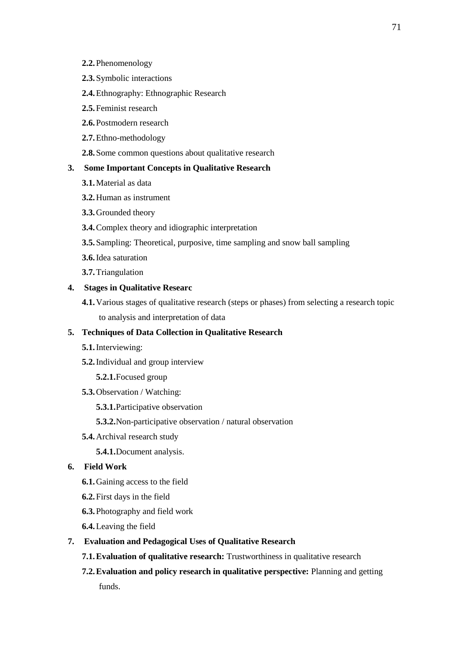- **2.2.**Phenomenology
- **2.3.**Symbolic interactions
- **2.4.**Ethnography: Ethnographic Research
- **2.5.**Feminist research
- **2.6.**Postmodern research
- **2.7.**Ethno-methodology

**2.8.**Some common questions about qualitative research

## **3. Some Important Concepts in Qualitative Research**

- **3.1.**Material as data
- **3.2.**Human as instrument
- **3.3.**Grounded theory
- **3.4.**Complex theory and idiographic interpretation
- **3.5.**Sampling: Theoretical, purposive, time sampling and snow ball sampling
- **3.6.**Idea saturation
- **3.7.**Triangulation

#### **4. Stages in Qualitative Researc**

**4.1.**Various stages of qualitative research (steps or phases) from selecting a research topic to analysis and interpretation of data

## **5. Techniques of Data Collection in Qualitative Research**

- **5.1.**Interviewing:
- **5.2.**Individual and group interview
	- **5.2.1.**Focused group
- **5.3.**Observation / Watching:
	- **5.3.1.**Participative observation
	- **5.3.2.**Non-participative observation / natural observation
- **5.4.**Archival research study
	- **5.4.1.**Document analysis.

#### **6. Field Work**

- **6.1.**Gaining access to the field
- **6.2.**First days in the field
- **6.3.**Photography and field work
- **6.4.**Leaving the field

## **7. Evaluation and Pedagogical Uses of Qualitative Research**

- **7.1.Evaluation of qualitative research:** Trustworthiness in qualitative research
- **7.2.Evaluation and policy research in qualitative perspective:** Planning and getting funds.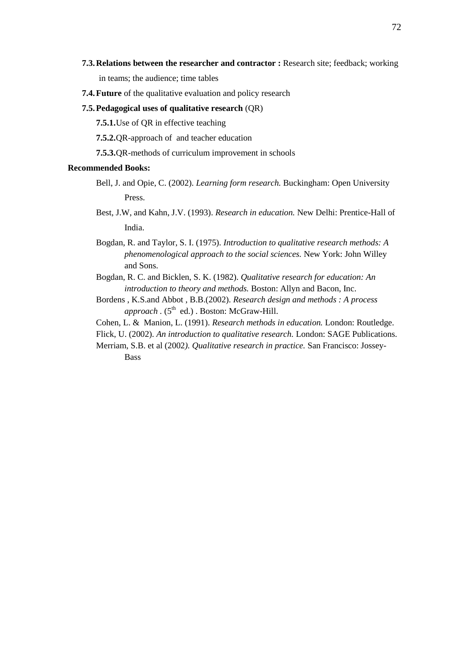**7.3.Relations between the researcher and contractor :** Research site; feedback; working

in teams; the audience; time tables

**7.4.Future** of the qualitative evaluation and policy research

## **7.5.Pedagogical uses of qualitative research** (QR)

**7.5.1.**Use of QR in effective teaching

**7.5.2.**QR-approach of and teacher education

**7.5.3.**QR-methods of curriculum improvement in schools

# **Recommended Books:**

- Bell, J. and Opie, C. (2002). *Learning form research.* Buckingham: Open University Press.
- Best, J.W, and Kahn, J.V. (1993). *Research in education.* New Delhi: Prentice-Hall of India.
- Bogdan, R. and Taylor, S. I. (1975). *Introduction to qualitative research methods: A phenomenological approach to the social sciences.* New York: John Willey and Sons.
- Bogdan, R. C. and Bicklen, S. K. (1982). *Qualitative research for education: An introduction to theory and methods.* Boston: Allyn and Bacon, Inc.
- Bordens , K.S.and Abbot , B.B.(2002). *Research design and methods : A process*  approach . (5<sup>th</sup> ed.) . Boston: McGraw-Hill.

Cohen, L. & Manion, L. (1991). *Research methods in education.* London: Routledge.

Flick, U. (2002). *An introduction to qualitative research.* London: SAGE Publications.

Merriam, S.B. et al (2002*). Qualitative research in practice.* San Francisco: Jossey-Bass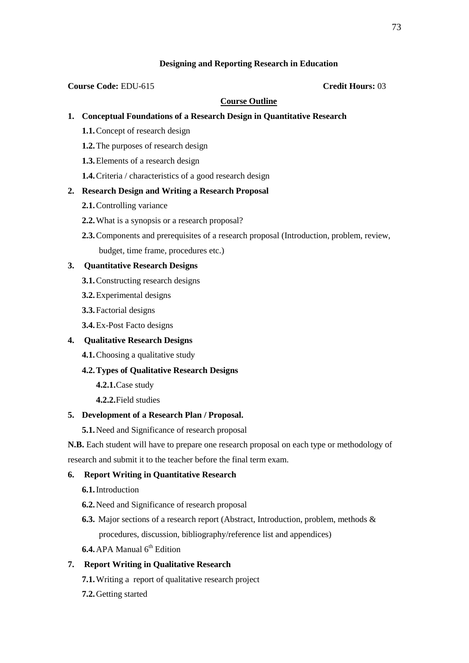# **Designing and Reporting Research in Education**

### **Course Code:** EDU-615 **Credit Hours:** 03

# **Course Outline**

# **1. Conceptual Foundations of a Research Design in Quantitative Research**

- **1.1.**Concept of research design
- **1.2.**The purposes of research design
- **1.3.**Elements of a research design
- **1.4.**Criteria / characteristics of a good research design

# **2. Research Design and Writing a Research Proposal**

- **2.1.**Controlling variance
- **2.2.**What is a synopsis or a research proposal?
- **2.3.**Components and prerequisites of a research proposal (Introduction, problem, review, budget, time frame, procedures etc.)

# **3. Quantitative Research Designs**

- **3.1.**Constructing research designs
- **3.2.**Experimental designs
- **3.3.**Factorial designs
- **3.4.**Ex-Post Facto designs

# **4. Qualitative Research Designs**

**4.1.**Choosing a qualitative study

# **4.2.Types of Qualitative Research Designs**

- **4.2.1.**Case study
- **4.2.2.**Field studies

### **5. Development of a Research Plan / Proposal.**

**5.1.**Need and Significance of research proposal

**N.B.** Each student will have to prepare one research proposal on each type or methodology of research and submit it to the teacher before the final term exam.

# **6. Report Writing in Quantitative Research**

- **6.1.**Introduction
- **6.2.**Need and Significance of research proposal
- **6.3.** Major sections of a research report (Abstract, Introduction, problem, methods & procedures, discussion, bibliography/reference list and appendices)
- **6.4.** APA Manual 6<sup>th</sup> Edition

# **7. Report Writing in Qualitative Research**

- **7.1.**Writing a report of qualitative research project
- **7.2.**Getting started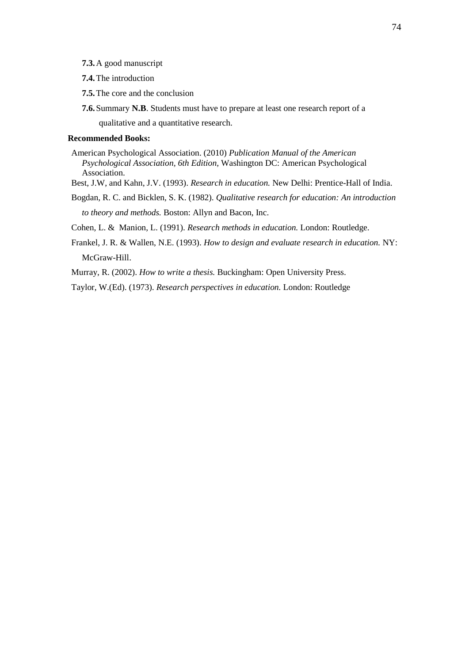**7.3.**A good manuscript

**7.4.**The introduction

- **7.5.**The core and the conclusion
- **7.6.**Summary **N.B**. Students must have to prepare at least one research report of a qualitative and a quantitative research.

### **Recommended Books:**

- American Psychological Association. (2010) *Publication Manual of the American Psychological Association, 6th Edition,* Washington DC: American Psychological Association.
- Best, J.W, and Kahn, J.V. (1993). *Research in education.* New Delhi: Prentice-Hall of India.
- Bogdan, R. C. and Bicklen, S. K. (1982). *Qualitative research for education: An introduction to theory and methods.* Boston: Allyn and Bacon, Inc.

Cohen, L. & Manion, L. (1991). *Research methods in education.* London: Routledge.

Frankel, J. R. & Wallen, N.E. (1993). *How to design and evaluate research in education.* NY: McGraw-Hill.

Murray, R. (2002). *How to write a thesis.* Buckingham: Open University Press.

Taylor, W.(Ed). (1973). *Research perspectives in education.* London: Routledge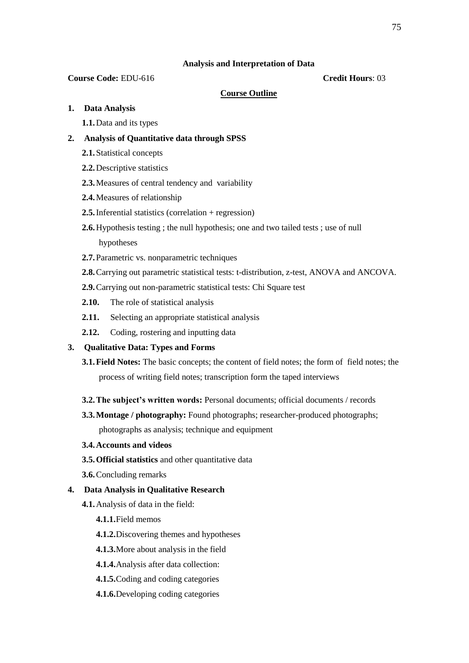### **Analysis and Interpretation of Data**

### **Course Code:** EDU-616 **Credit Hours**: 03

### **Course Outline**

- **1. Data Analysis**
	- **1.1.**Data and its types

## **2. Analysis of Quantitative data through SPSS**

- **2.1.**Statistical concepts
- **2.2.**Descriptive statistics
- **2.3.**Measures of central tendency and variability
- **2.4.**Measures of relationship
- **2.5.**Inferential statistics (correlation + regression)
- **2.6.**Hypothesis testing ; the null hypothesis; one and two tailed tests ; use of null hypotheses
- **2.7.**Parametric vs. nonparametric techniques
- **2.8.**Carrying out parametric statistical tests: t-distribution, z-test, ANOVA and ANCOVA.
- **2.9.**Carrying out non-parametric statistical tests: Chi Square test
- **2.10.** The role of statistical analysis
- **2.11.** Selecting an appropriate statistical analysis
- **2.12.** Coding, rostering and inputting data
- **3. Qualitative Data: Types and Forms**
	- **3.1.Field Notes:** The basic concepts; the content of field notes; the form of field notes; the process of writing field notes; transcription form the taped interviews
	- **3.2.The subject's written words:** Personal documents; official documents / records
	- **3.3.Montage / photography:** Found photographs; researcher-produced photographs;

photographs as analysis; technique and equipment

- **3.4.Accounts and videos**
- **3.5.Official statistics** and other quantitative data
- **3.6.**Concluding remarks

## **4. Data Analysis in Qualitative Research**

- **4.1.**Analysis of data in the field:
	- **4.1.1.**Field memos
	- **4.1.2.**Discovering themes and hypotheses
	- **4.1.3.**More about analysis in the field
	- **4.1.4.**Analysis after data collection:
	- **4.1.5.**Coding and coding categories
	- **4.1.6.**Developing coding categories